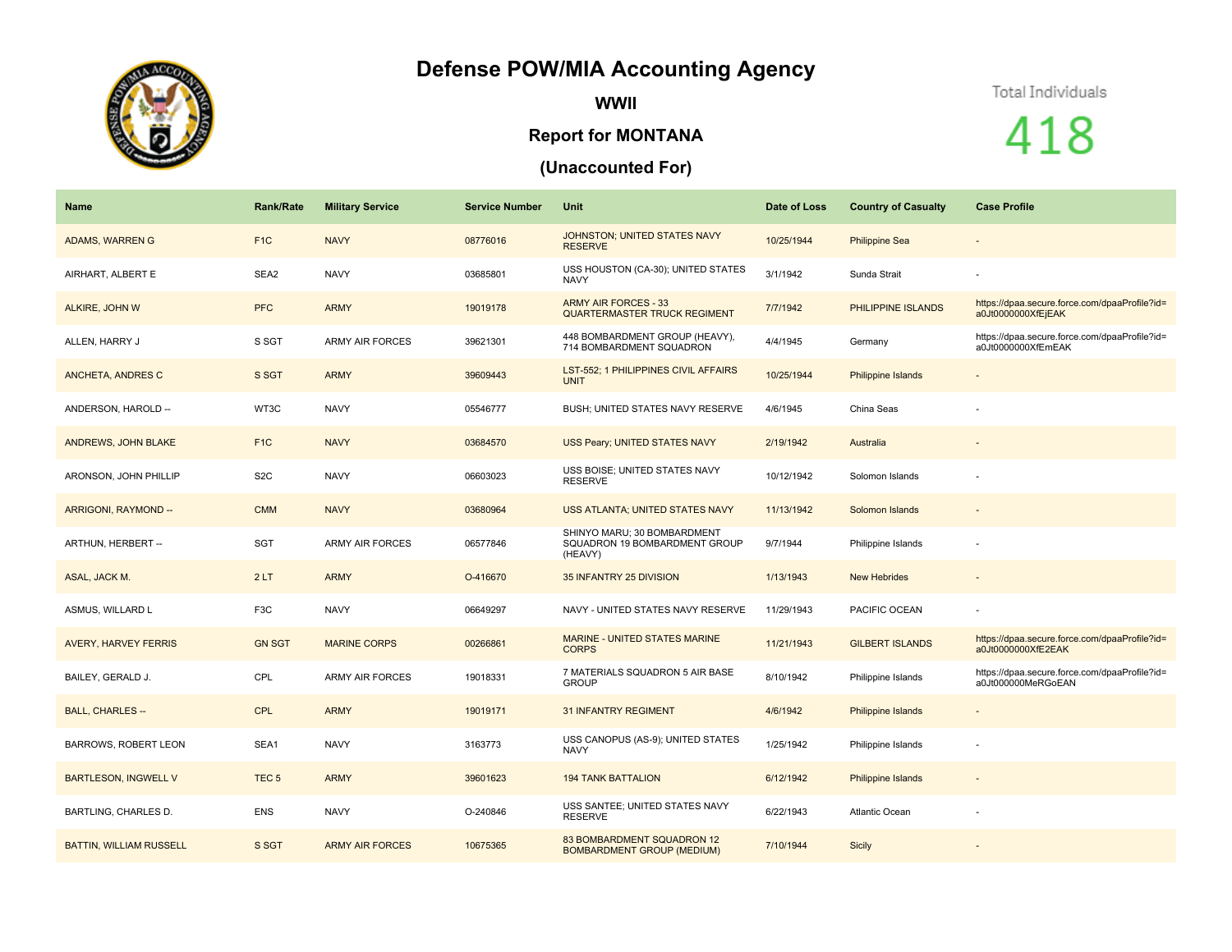## **Defense POW/MIA Accounting Agency**



**WWII**

## **Report for MONTANA**

## **(Unaccounted For)**

## Total Individuals

418

| Name                           | <b>Rank/Rate</b> | <b>Military Service</b> | <b>Service Number</b> | <b>Unit</b>                                                             | Date of Loss | <b>Country of Casualty</b> | <b>Case Profile</b>                                                 |
|--------------------------------|------------------|-------------------------|-----------------------|-------------------------------------------------------------------------|--------------|----------------------------|---------------------------------------------------------------------|
| ADAMS, WARREN G                | F <sub>1C</sub>  | <b>NAVY</b>             | 08776016              | JOHNSTON; UNITED STATES NAVY<br><b>RESERVE</b>                          | 10/25/1944   | <b>Philippine Sea</b>      | $\overline{\phantom{a}}$                                            |
| AIRHART, ALBERT E              | SEA2             | <b>NAVY</b>             | 03685801              | USS HOUSTON (CA-30); UNITED STATES<br><b>NAVY</b>                       | 3/1/1942     | Sunda Strait               |                                                                     |
| ALKIRE, JOHN W                 | <b>PFC</b>       | <b>ARMY</b>             | 19019178              | <b>ARMY AIR FORCES - 33</b><br>QUARTERMASTER TRUCK REGIMENT             | 7/7/1942     | PHILIPPINE ISLANDS         | https://dpaa.secure.force.com/dpaaProfile?id=<br>a0Jt0000000XfEjEAK |
| ALLEN, HARRY J                 | S SGT            | <b>ARMY AIR FORCES</b>  | 39621301              | 448 BOMBARDMENT GROUP (HEAVY),<br>714 BOMBARDMENT SQUADRON              | 4/4/1945     | Germany                    | https://dpaa.secure.force.com/dpaaProfile?id=<br>a0Jt0000000XfEmEAK |
| ANCHETA, ANDRES C              | S SGT            | <b>ARMY</b>             | 39609443              | LST-552; 1 PHILIPPINES CIVIL AFFAIRS<br><b>UNIT</b>                     | 10/25/1944   | <b>Philippine Islands</b>  | $\overline{\phantom{a}}$                                            |
| ANDERSON, HAROLD --            | WT3C             | <b>NAVY</b>             | 05546777              | BUSH; UNITED STATES NAVY RESERVE                                        | 4/6/1945     | China Seas                 |                                                                     |
| ANDREWS, JOHN BLAKE            | F <sub>1C</sub>  | <b>NAVY</b>             | 03684570              | USS Peary; UNITED STATES NAVY                                           | 2/19/1942    | Australia                  |                                                                     |
| ARONSON, JOHN PHILLIP          | S <sub>2</sub> C | <b>NAVY</b>             | 06603023              | USS BOISE; UNITED STATES NAVY<br><b>RESERVE</b>                         | 10/12/1942   | Solomon Islands            |                                                                     |
| ARRIGONI, RAYMOND --           | <b>CMM</b>       | <b>NAVY</b>             | 03680964              | USS ATLANTA; UNITED STATES NAVY                                         | 11/13/1942   | Solomon Islands            | $\overline{\phantom{a}}$                                            |
| ARTHUN, HERBERT --             | SGT              | <b>ARMY AIR FORCES</b>  | 06577846              | SHINYO MARU; 30 BOMBARDMENT<br>SQUADRON 19 BOMBARDMENT GROUP<br>(HEAVY) | 9/7/1944     | Philippine Islands         |                                                                     |
| ASAL, JACK M.                  | 2LT              | <b>ARMY</b>             | O-416670              | 35 INFANTRY 25 DIVISION                                                 | 1/13/1943    | <b>New Hebrides</b>        |                                                                     |
| ASMUS, WILLARD L               | F3C              | <b>NAVY</b>             | 06649297              | NAVY - UNITED STATES NAVY RESERVE                                       | 11/29/1943   | PACIFIC OCEAN              |                                                                     |
| <b>AVERY, HARVEY FERRIS</b>    | <b>GN SGT</b>    | <b>MARINE CORPS</b>     | 00266861              | <b>MARINE - UNITED STATES MARINE</b><br><b>CORPS</b>                    | 11/21/1943   | <b>GILBERT ISLANDS</b>     | https://dpaa.secure.force.com/dpaaProfile?id=<br>a0Jt0000000XfE2EAK |
| BAILEY, GERALD J.              | CPL              | <b>ARMY AIR FORCES</b>  | 19018331              | 7 MATERIALS SQUADRON 5 AIR BASE<br><b>GROUP</b>                         | 8/10/1942    | Philippine Islands         | https://dpaa.secure.force.com/dpaaProfile?id=<br>a0Jt000000MeRGoEAN |
| <b>BALL, CHARLES --</b>        | <b>CPL</b>       | <b>ARMY</b>             | 19019171              | <b>31 INFANTRY REGIMENT</b>                                             | 4/6/1942     | <b>Philippine Islands</b>  |                                                                     |
| <b>BARROWS, ROBERT LEON</b>    | SEA1             | <b>NAVY</b>             | 3163773               | USS CANOPUS (AS-9); UNITED STATES<br><b>NAVY</b>                        | 1/25/1942    | Philippine Islands         |                                                                     |
| <b>BARTLESON, INGWELL V</b>    | TEC <sub>5</sub> | <b>ARMY</b>             | 39601623              | <b>194 TANK BATTALION</b>                                               | 6/12/1942    | <b>Philippine Islands</b>  |                                                                     |
| <b>BARTLING, CHARLES D.</b>    | <b>ENS</b>       | <b>NAVY</b>             | O-240846              | USS SANTEE; UNITED STATES NAVY<br><b>RESERVE</b>                        | 6/22/1943    | Atlantic Ocean             |                                                                     |
| <b>BATTIN, WILLIAM RUSSELL</b> | S SGT            | <b>ARMY AIR FORCES</b>  | 10675365              | 83 BOMBARDMENT SQUADRON 12<br><b>BOMBARDMENT GROUP (MEDIUM)</b>         | 7/10/1944    | Sicily                     |                                                                     |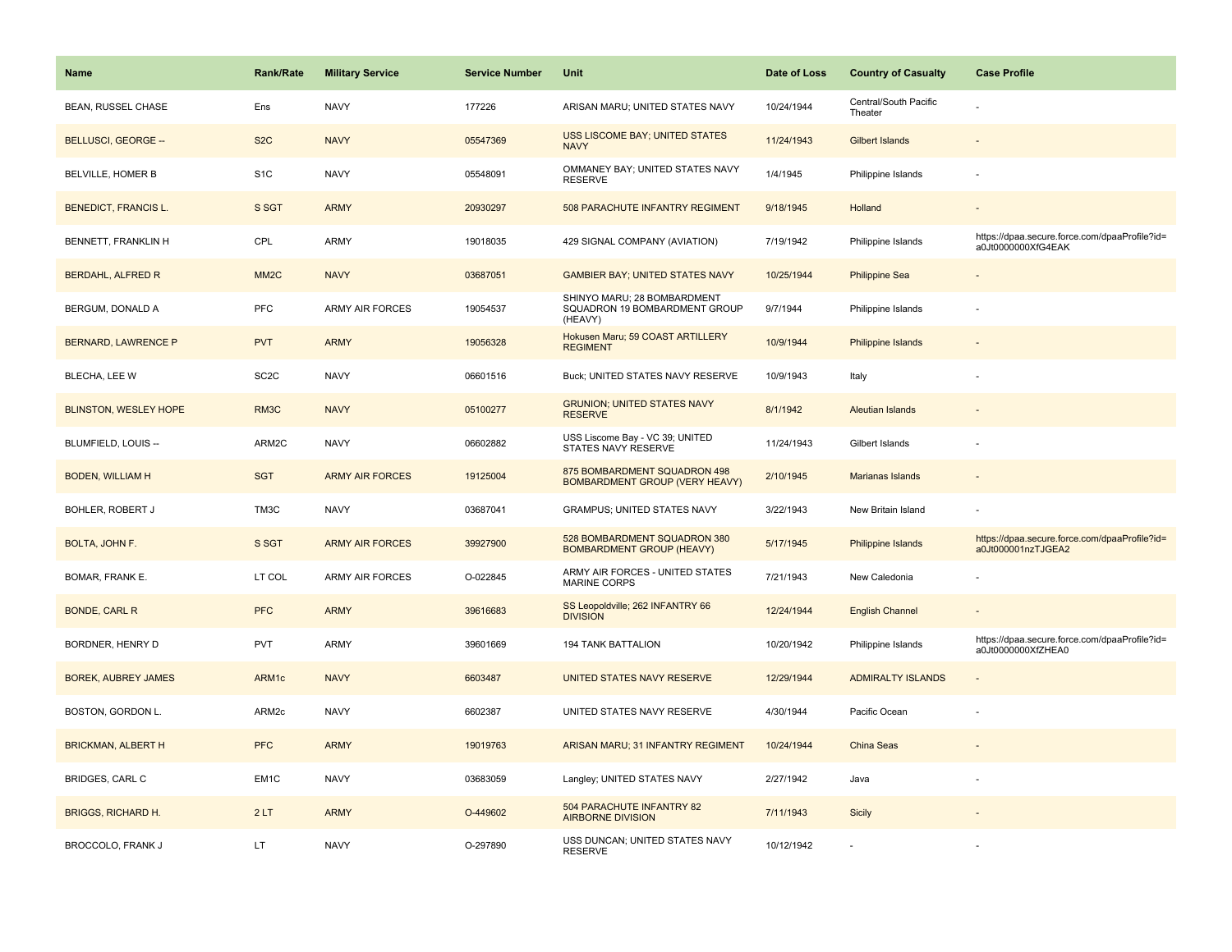| <b>Name</b>                  | <b>Rank/Rate</b>  | <b>Military Service</b> | <b>Service Number</b> | Unit                                                                    | Date of Loss | <b>Country of Casualty</b>       | <b>Case Profile</b>                                                 |
|------------------------------|-------------------|-------------------------|-----------------------|-------------------------------------------------------------------------|--------------|----------------------------------|---------------------------------------------------------------------|
| <b>BEAN, RUSSEL CHASE</b>    | Ens               | <b>NAVY</b>             | 177226                | ARISAN MARU; UNITED STATES NAVY                                         | 10/24/1944   | Central/South Pacific<br>Theater |                                                                     |
| <b>BELLUSCI, GEORGE --</b>   | S <sub>2</sub> C  | <b>NAVY</b>             | 05547369              | <b>USS LISCOME BAY; UNITED STATES</b><br><b>NAVY</b>                    | 11/24/1943   | <b>Gilbert Islands</b>           |                                                                     |
| BELVILLE, HOMER B            | S <sub>1</sub> C  | <b>NAVY</b>             | 05548091              | OMMANEY BAY; UNITED STATES NAVY<br><b>RESERVE</b>                       | 1/4/1945     | Philippine Islands               |                                                                     |
| <b>BENEDICT, FRANCIS L.</b>  | S SGT             | <b>ARMY</b>             | 20930297              | 508 PARACHUTE INFANTRY REGIMENT                                         | 9/18/1945    | Holland                          |                                                                     |
| BENNETT, FRANKLIN H          | CPL               | <b>ARMY</b>             | 19018035              | 429 SIGNAL COMPANY (AVIATION)                                           | 7/19/1942    | Philippine Islands               | https://dpaa.secure.force.com/dpaaProfile?id=<br>a0Jt0000000XfG4EAK |
| <b>BERDAHL, ALFRED R</b>     | MM <sub>2</sub> C | <b>NAVY</b>             | 03687051              | <b>GAMBIER BAY; UNITED STATES NAVY</b>                                  | 10/25/1944   | <b>Philippine Sea</b>            |                                                                     |
| BERGUM, DONALD A             | <b>PFC</b>        | <b>ARMY AIR FORCES</b>  | 19054537              | SHINYO MARU; 28 BOMBARDMENT<br>SQUADRON 19 BOMBARDMENT GROUP<br>(HEAVY) | 9/7/1944     | Philippine Islands               |                                                                     |
| <b>BERNARD, LAWRENCE P</b>   | <b>PVT</b>        | <b>ARMY</b>             | 19056328              | Hokusen Maru; 59 COAST ARTILLERY<br><b>REGIMENT</b>                     | 10/9/1944    | Philippine Islands               |                                                                     |
| BLECHA, LEE W                | SC <sub>2</sub> C | <b>NAVY</b>             | 06601516              | Buck; UNITED STATES NAVY RESERVE                                        | 10/9/1943    | Italy                            |                                                                     |
| <b>BLINSTON, WESLEY HOPE</b> | RM3C              | <b>NAVY</b>             | 05100277              | <b>GRUNION; UNITED STATES NAVY</b><br><b>RESERVE</b>                    | 8/1/1942     | <b>Aleutian Islands</b>          |                                                                     |
| BLUMFIELD, LOUIS --          | ARM2C             | <b>NAVY</b>             | 06602882              | USS Liscome Bay - VC 39; UNITED<br>STATES NAVY RESERVE                  | 11/24/1943   | Gilbert Islands                  |                                                                     |
| <b>BODEN, WILLIAM H</b>      | <b>SGT</b>        | <b>ARMY AIR FORCES</b>  | 19125004              | 875 BOMBARDMENT SQUADRON 498<br><b>BOMBARDMENT GROUP (VERY HEAVY)</b>   | 2/10/1945    | Marianas Islands                 |                                                                     |
| BOHLER, ROBERT J             | TM3C              | <b>NAVY</b>             | 03687041              | GRAMPUS; UNITED STATES NAVY                                             | 3/22/1943    | New Britain Island               |                                                                     |
| BOLTA, JOHN F.               | S SGT             | <b>ARMY AIR FORCES</b>  | 39927900              | 528 BOMBARDMENT SQUADRON 380<br><b>BOMBARDMENT GROUP (HEAVY)</b>        | 5/17/1945    | Philippine Islands               | https://dpaa.secure.force.com/dpaaProfile?id=<br>a0Jt000001nzTJGEA2 |
| BOMAR, FRANK E.              | LT COL            | ARMY AIR FORCES         | O-022845              | ARMY AIR FORCES - UNITED STATES<br><b>MARINE CORPS</b>                  | 7/21/1943    | New Caledonia                    |                                                                     |
| <b>BONDE, CARL R</b>         | <b>PFC</b>        | <b>ARMY</b>             | 39616683              | SS Leopoldville; 262 INFANTRY 66<br><b>DIVISION</b>                     | 12/24/1944   | <b>English Channel</b>           |                                                                     |
| BORDNER, HENRY D             | <b>PVT</b>        | ARMY                    | 39601669              | <b>194 TANK BATTALION</b>                                               | 10/20/1942   | Philippine Islands               | https://dpaa.secure.force.com/dpaaProfile?id=<br>a0Jt0000000XfZHEA0 |
| <b>BOREK, AUBREY JAMES</b>   | ARM1c             | <b>NAVY</b>             | 6603487               | UNITED STATES NAVY RESERVE                                              | 12/29/1944   | <b>ADMIRALTY ISLANDS</b>         |                                                                     |
| BOSTON, GORDON L.            | ARM2c             | <b>NAVY</b>             | 6602387               | UNITED STATES NAVY RESERVE                                              | 4/30/1944    | Pacific Ocean                    |                                                                     |
| <b>BRICKMAN, ALBERT H</b>    | <b>PFC</b>        | <b>ARMY</b>             | 19019763              | ARISAN MARU; 31 INFANTRY REGIMENT                                       | 10/24/1944   | China Seas                       |                                                                     |
| <b>BRIDGES, CARL C</b>       | EM1C              | <b>NAVY</b>             | 03683059              | Langley; UNITED STATES NAVY                                             | 2/27/1942    | Java                             |                                                                     |
| <b>BRIGGS, RICHARD H.</b>    | 2LT               | <b>ARMY</b>             | O-449602              | 504 PARACHUTE INFANTRY 82<br><b>AIRBORNE DIVISION</b>                   | 7/11/1943    | <b>Sicily</b>                    |                                                                     |
| BROCCOLO, FRANK J            | LT                | <b>NAVY</b>             | O-297890              | USS DUNCAN; UNITED STATES NAVY<br><b>RESERVE</b>                        | 10/12/1942   |                                  |                                                                     |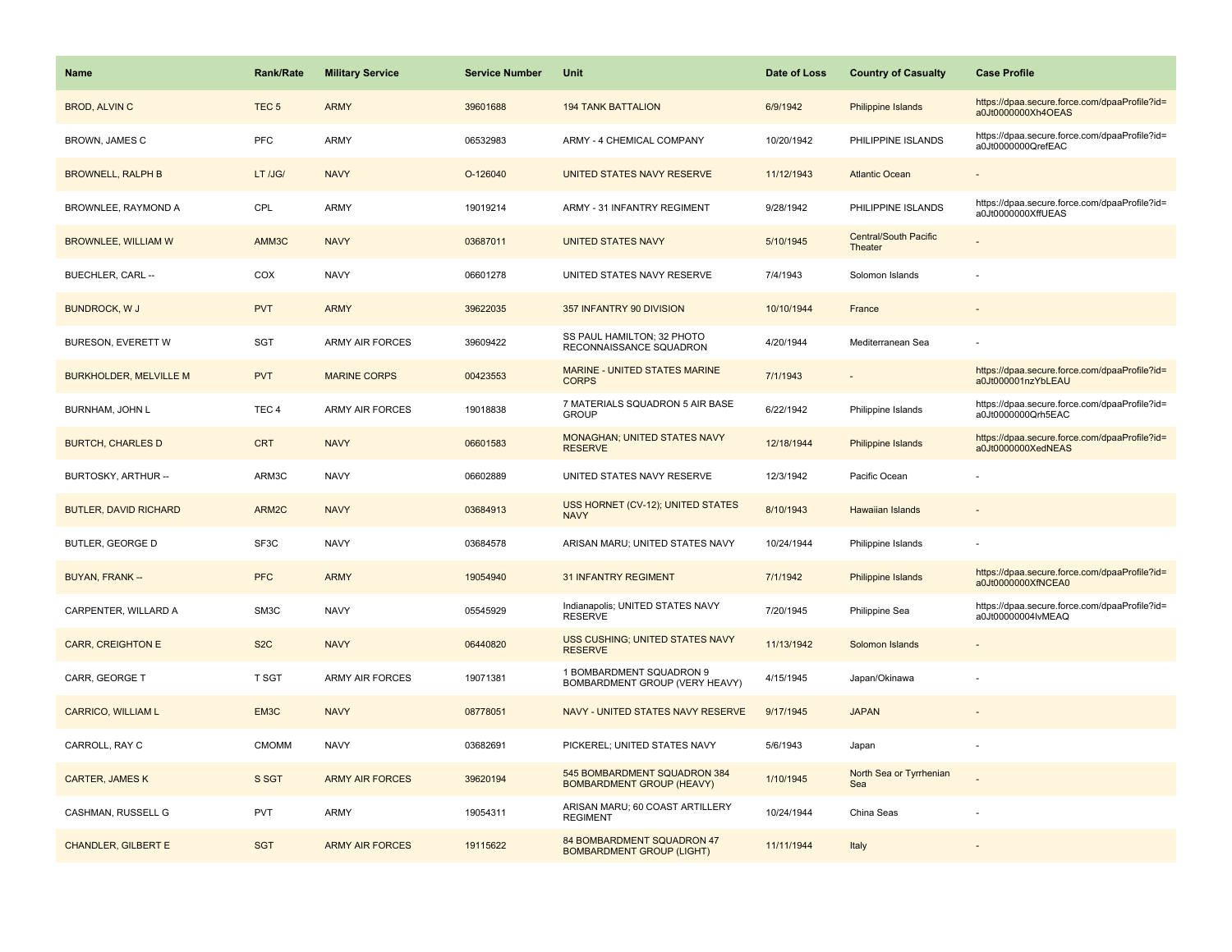| <b>Name</b>                   | <b>Rank/Rate</b> | <b>Military Service</b> | <b>Service Number</b> | Unit                                                             | Date of Loss | <b>Country of Casualty</b>              | <b>Case Profile</b>                                                 |
|-------------------------------|------------------|-------------------------|-----------------------|------------------------------------------------------------------|--------------|-----------------------------------------|---------------------------------------------------------------------|
| <b>BROD, ALVIN C</b>          | TEC <sub>5</sub> | <b>ARMY</b>             | 39601688              | <b>194 TANK BATTALION</b>                                        | 6/9/1942     | Philippine Islands                      | https://dpaa.secure.force.com/dpaaProfile?id=<br>a0Jt0000000Xh4OEAS |
| BROWN, JAMES C                | <b>PFC</b>       | ARMY                    | 06532983              | ARMY - 4 CHEMICAL COMPANY                                        | 10/20/1942   | PHILIPPINE ISLANDS                      | https://dpaa.secure.force.com/dpaaProfile?id=<br>a0Jt0000000QrefEAC |
| <b>BROWNELL, RALPH B</b>      | LT /JG/          | <b>NAVY</b>             | O-126040              | UNITED STATES NAVY RESERVE                                       | 11/12/1943   | <b>Atlantic Ocean</b>                   |                                                                     |
| BROWNLEE, RAYMOND A           | CPL              | ARMY                    | 19019214              | ARMY - 31 INFANTRY REGIMENT                                      | 9/28/1942    | PHILIPPINE ISLANDS                      | https://dpaa.secure.force.com/dpaaProfile?id=<br>a0Jt0000000XffUEAS |
| <b>BROWNLEE, WILLIAM W</b>    | AMM3C            | <b>NAVY</b>             | 03687011              | <b>UNITED STATES NAVY</b>                                        | 5/10/1945    | <b>Central/South Pacific</b><br>Theater |                                                                     |
| BUECHLER, CARL --             | COX              | <b>NAVY</b>             | 06601278              | UNITED STATES NAVY RESERVE                                       | 7/4/1943     | Solomon Islands                         |                                                                     |
| <b>BUNDROCK, W J</b>          | <b>PVT</b>       | <b>ARMY</b>             | 39622035              | 357 INFANTRY 90 DIVISION                                         | 10/10/1944   | France                                  |                                                                     |
| BURESON, EVERETT W            | <b>SGT</b>       | <b>ARMY AIR FORCES</b>  | 39609422              | SS PAUL HAMILTON; 32 PHOTO<br>RECONNAISSANCE SQUADRON            | 4/20/1944    | Mediterranean Sea                       |                                                                     |
| <b>BURKHOLDER, MELVILLE M</b> | <b>PVT</b>       | <b>MARINE CORPS</b>     | 00423553              | <b>MARINE - UNITED STATES MARINE</b><br><b>CORPS</b>             | 7/1/1943     |                                         | https://dpaa.secure.force.com/dpaaProfile?id=<br>a0Jt000001nzYbLEAU |
| BURNHAM, JOHN L               | TEC <sub>4</sub> | <b>ARMY AIR FORCES</b>  | 19018838              | 7 MATERIALS SQUADRON 5 AIR BASE<br><b>GROUP</b>                  | 6/22/1942    | Philippine Islands                      | https://dpaa.secure.force.com/dpaaProfile?id=<br>a0Jt0000000Qrh5EAC |
| <b>BURTCH, CHARLES D</b>      | <b>CRT</b>       | <b>NAVY</b>             | 06601583              | MONAGHAN; UNITED STATES NAVY<br><b>RESERVE</b>                   | 12/18/1944   | <b>Philippine Islands</b>               | https://dpaa.secure.force.com/dpaaProfile?id=<br>a0Jt0000000XedNEAS |
| BURTOSKY, ARTHUR --           | ARM3C            | <b>NAVY</b>             | 06602889              | UNITED STATES NAVY RESERVE                                       | 12/3/1942    | Pacific Ocean                           |                                                                     |
| <b>BUTLER, DAVID RICHARD</b>  | ARM2C            | <b>NAVY</b>             | 03684913              | USS HORNET (CV-12); UNITED STATES<br><b>NAVY</b>                 | 8/10/1943    | <b>Hawaiian Islands</b>                 |                                                                     |
| BUTLER, GEORGE D              | SF3C             | <b>NAVY</b>             | 03684578              | ARISAN MARU; UNITED STATES NAVY                                  | 10/24/1944   | Philippine Islands                      |                                                                     |
| BUYAN, FRANK --               | <b>PFC</b>       | <b>ARMY</b>             | 19054940              | <b>31 INFANTRY REGIMENT</b>                                      | 7/1/1942     | Philippine Islands                      | https://dpaa.secure.force.com/dpaaProfile?id=<br>a0Jt0000000XfNCEA0 |
| CARPENTER, WILLARD A          | SM3C             | <b>NAVY</b>             | 05545929              | Indianapolis; UNITED STATES NAVY<br><b>RESERVE</b>               | 7/20/1945    | Philippine Sea                          | https://dpaa.secure.force.com/dpaaProfile?id=<br>a0Jt00000004lvMEAQ |
| <b>CARR, CREIGHTON E</b>      | S <sub>2</sub> C | <b>NAVY</b>             | 06440820              | <b>USS CUSHING; UNITED STATES NAVY</b><br><b>RESERVE</b>         | 11/13/1942   | Solomon Islands                         |                                                                     |
| CARR, GEORGE T                | <b>T SGT</b>     | ARMY AIR FORCES         | 19071381              | 1 BOMBARDMENT SQUADRON 9<br>BOMBARDMENT GROUP (VERY HEAVY)       | 4/15/1945    | Japan/Okinawa                           |                                                                     |
| <b>CARRICO, WILLIAM L</b>     | EM3C             | <b>NAVY</b>             | 08778051              | NAVY - UNITED STATES NAVY RESERVE                                | 9/17/1945    | <b>JAPAN</b>                            |                                                                     |
| CARROLL, RAY C                | <b>CMOMM</b>     | <b>NAVY</b>             | 03682691              | PICKEREL; UNITED STATES NAVY                                     | 5/6/1943     | Japan                                   |                                                                     |
| <b>CARTER, JAMES K</b>        | S SGT            | <b>ARMY AIR FORCES</b>  | 39620194              | 545 BOMBARDMENT SQUADRON 384<br><b>BOMBARDMENT GROUP (HEAVY)</b> | 1/10/1945    | North Sea or Tyrrhenian<br>Sea          |                                                                     |
| CASHMAN, RUSSELL G            | <b>PVT</b>       | ARMY                    | 19054311              | ARISAN MARU; 60 COAST ARTILLERY<br><b>REGIMENT</b>               | 10/24/1944   | China Seas                              |                                                                     |
| <b>CHANDLER, GILBERT E</b>    | <b>SGT</b>       | <b>ARMY AIR FORCES</b>  | 19115622              | 84 BOMBARDMENT SQUADRON 47<br><b>BOMBARDMENT GROUP (LIGHT)</b>   | 11/11/1944   | Italy                                   |                                                                     |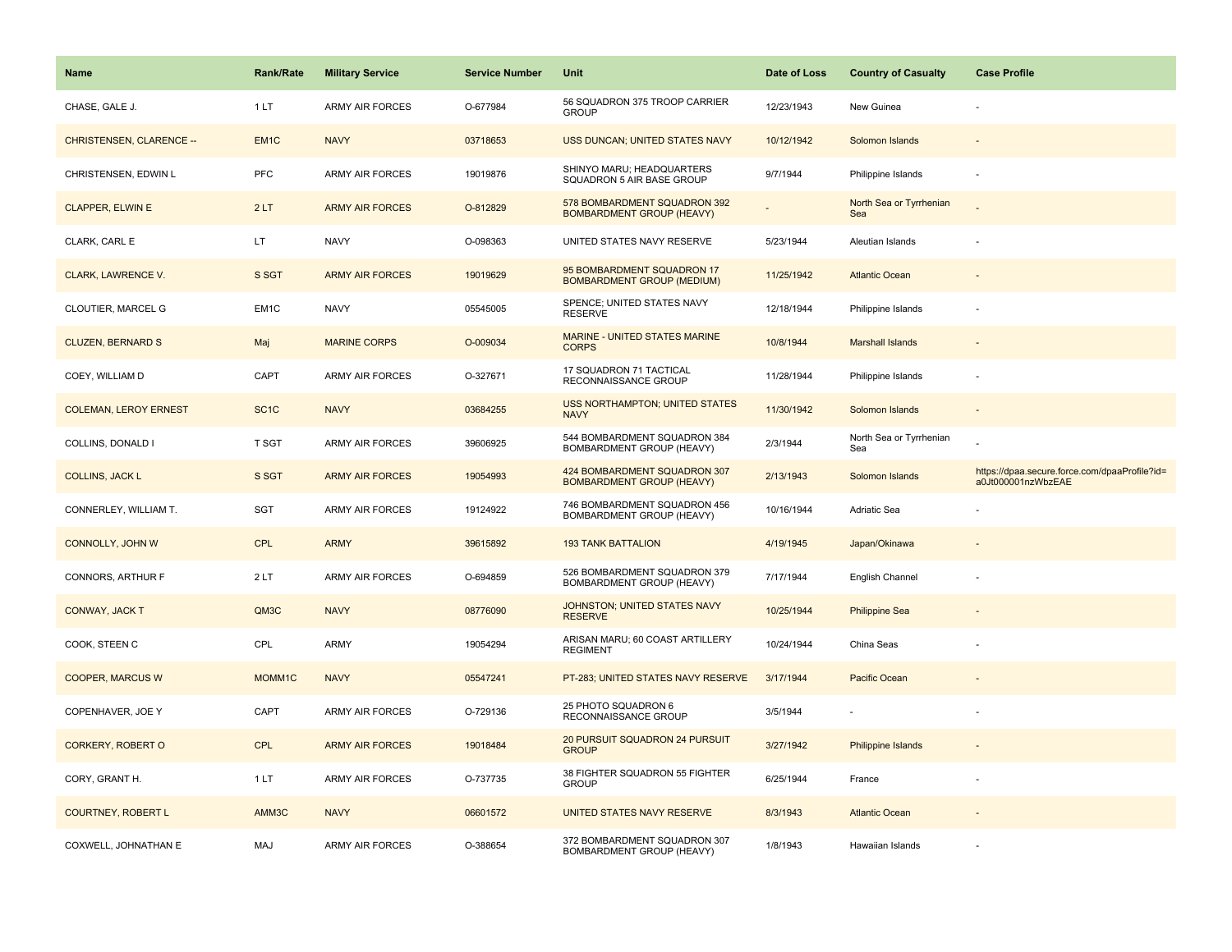| Name                            | Rank/Rate          | <b>Military Service</b> | <b>Service Number</b> | Unit                                                             | Date of Loss | <b>Country of Casualty</b>     | <b>Case Profile</b>                                                 |
|---------------------------------|--------------------|-------------------------|-----------------------|------------------------------------------------------------------|--------------|--------------------------------|---------------------------------------------------------------------|
| CHASE, GALE J.                  | 1LT                | <b>ARMY AIR FORCES</b>  | O-677984              | 56 SQUADRON 375 TROOP CARRIER<br><b>GROUP</b>                    | 12/23/1943   | New Guinea                     |                                                                     |
| <b>CHRISTENSEN, CLARENCE --</b> | EM <sub>1C</sub>   | <b>NAVY</b>             | 03718653              | USS DUNCAN; UNITED STATES NAVY                                   | 10/12/1942   | Solomon Islands                |                                                                     |
| CHRISTENSEN, EDWIN L            | PFC                | <b>ARMY AIR FORCES</b>  | 19019876              | SHINYO MARU; HEADQUARTERS<br>SQUADRON 5 AIR BASE GROUP           | 9/7/1944     | Philippine Islands             |                                                                     |
| <b>CLAPPER, ELWIN E</b>         | 2LT                | <b>ARMY AIR FORCES</b>  | O-812829              | 578 BOMBARDMENT SQUADRON 392<br><b>BOMBARDMENT GROUP (HEAVY)</b> |              | North Sea or Tyrrhenian<br>Sea |                                                                     |
| CLARK, CARL E                   | LT.                | <b>NAVY</b>             | O-098363              | UNITED STATES NAVY RESERVE                                       | 5/23/1944    | Aleutian Islands               |                                                                     |
| CLARK, LAWRENCE V.              | S SGT              | <b>ARMY AIR FORCES</b>  | 19019629              | 95 BOMBARDMENT SQUADRON 17<br><b>BOMBARDMENT GROUP (MEDIUM)</b>  | 11/25/1942   | <b>Atlantic Ocean</b>          |                                                                     |
| CLOUTIER, MARCEL G              | EM1C               | <b>NAVY</b>             | 05545005              | SPENCE: UNITED STATES NAVY<br><b>RESERVE</b>                     | 12/18/1944   | Philippine Islands             |                                                                     |
| <b>CLUZEN, BERNARD S</b>        | Maj                | <b>MARINE CORPS</b>     | O-009034              | MARINE - UNITED STATES MARINE<br><b>CORPS</b>                    | 10/8/1944    | <b>Marshall Islands</b>        |                                                                     |
| COEY, WILLIAM D                 | CAPT               | ARMY AIR FORCES         | O-327671              | 17 SQUADRON 71 TACTICAL<br>RECONNAISSANCE GROUP                  | 11/28/1944   | Philippine Islands             |                                                                     |
| <b>COLEMAN, LEROY ERNEST</b>    | SC <sub>1</sub> C  | <b>NAVY</b>             | 03684255              | <b>USS NORTHAMPTON; UNITED STATES</b><br><b>NAVY</b>             | 11/30/1942   | Solomon Islands                |                                                                     |
| COLLINS, DONALD I               | T SGT              | <b>ARMY AIR FORCES</b>  | 39606925              | 544 BOMBARDMENT SQUADRON 384<br>BOMBARDMENT GROUP (HEAVY)        | 2/3/1944     | North Sea or Tyrrhenian<br>Sea |                                                                     |
| <b>COLLINS, JACK L</b>          | S SGT              | <b>ARMY AIR FORCES</b>  | 19054993              | 424 BOMBARDMENT SQUADRON 307<br><b>BOMBARDMENT GROUP (HEAVY)</b> | 2/13/1943    | Solomon Islands                | https://dpaa.secure.force.com/dpaaProfile?id=<br>a0Jt000001nzWbzEAE |
| CONNERLEY, WILLIAM T.           | <b>SGT</b>         | ARMY AIR FORCES         | 19124922              | 746 BOMBARDMENT SQUADRON 456<br>BOMBARDMENT GROUP (HEAVY)        | 10/16/1944   | Adriatic Sea                   |                                                                     |
| CONNOLLY, JOHN W                | CPL                | <b>ARMY</b>             | 39615892              | <b>193 TANK BATTALION</b>                                        | 4/19/1945    | Japan/Okinawa                  |                                                                     |
| CONNORS, ARTHUR F               | 2LT                | <b>ARMY AIR FORCES</b>  | O-694859              | 526 BOMBARDMENT SQUADRON 379<br>BOMBARDMENT GROUP (HEAVY)        | 7/17/1944    | English Channel                |                                                                     |
| CONWAY, JACK T                  | QM3C               | <b>NAVY</b>             | 08776090              | JOHNSTON; UNITED STATES NAVY<br><b>RESERVE</b>                   | 10/25/1944   | <b>Philippine Sea</b>          |                                                                     |
| COOK, STEEN C                   | CPL                | ARMY                    | 19054294              | ARISAN MARU; 60 COAST ARTILLERY<br><b>REGIMENT</b>               | 10/24/1944   | China Seas                     |                                                                     |
| <b>COOPER, MARCUS W</b>         | MOMM <sub>1C</sub> | <b>NAVY</b>             | 05547241              | PT-283; UNITED STATES NAVY RESERVE                               | 3/17/1944    | <b>Pacific Ocean</b>           |                                                                     |
| COPENHAVER, JOE Y               | CAPT               | ARMY AIR FORCES         | O-729136              | 25 PHOTO SQUADRON 6<br>RECONNAISSANCE GROUP                      | 3/5/1944     |                                |                                                                     |
| <b>CORKERY, ROBERT O</b>        | <b>CPL</b>         | <b>ARMY AIR FORCES</b>  | 19018484              | 20 PURSUIT SQUADRON 24 PURSUIT<br><b>GROUP</b>                   | 3/27/1942    | Philippine Islands             |                                                                     |
| CORY, GRANT H.                  | 1 LT               | ARMY AIR FORCES         | O-737735              | 38 FIGHTER SQUADRON 55 FIGHTER<br><b>GROUP</b>                   | 6/25/1944    | France                         |                                                                     |
| <b>COURTNEY, ROBERT L</b>       | AMM3C              | <b>NAVY</b>             | 06601572              | UNITED STATES NAVY RESERVE                                       | 8/3/1943     | <b>Atlantic Ocean</b>          |                                                                     |
| COXWELL, JOHNATHAN E            | <b>MAJ</b>         | <b>ARMY AIR FORCES</b>  | O-388654              | 372 BOMBARDMENT SQUADRON 307<br>BOMBARDMENT GROUP (HEAVY)        | 1/8/1943     | Hawaiian Islands               |                                                                     |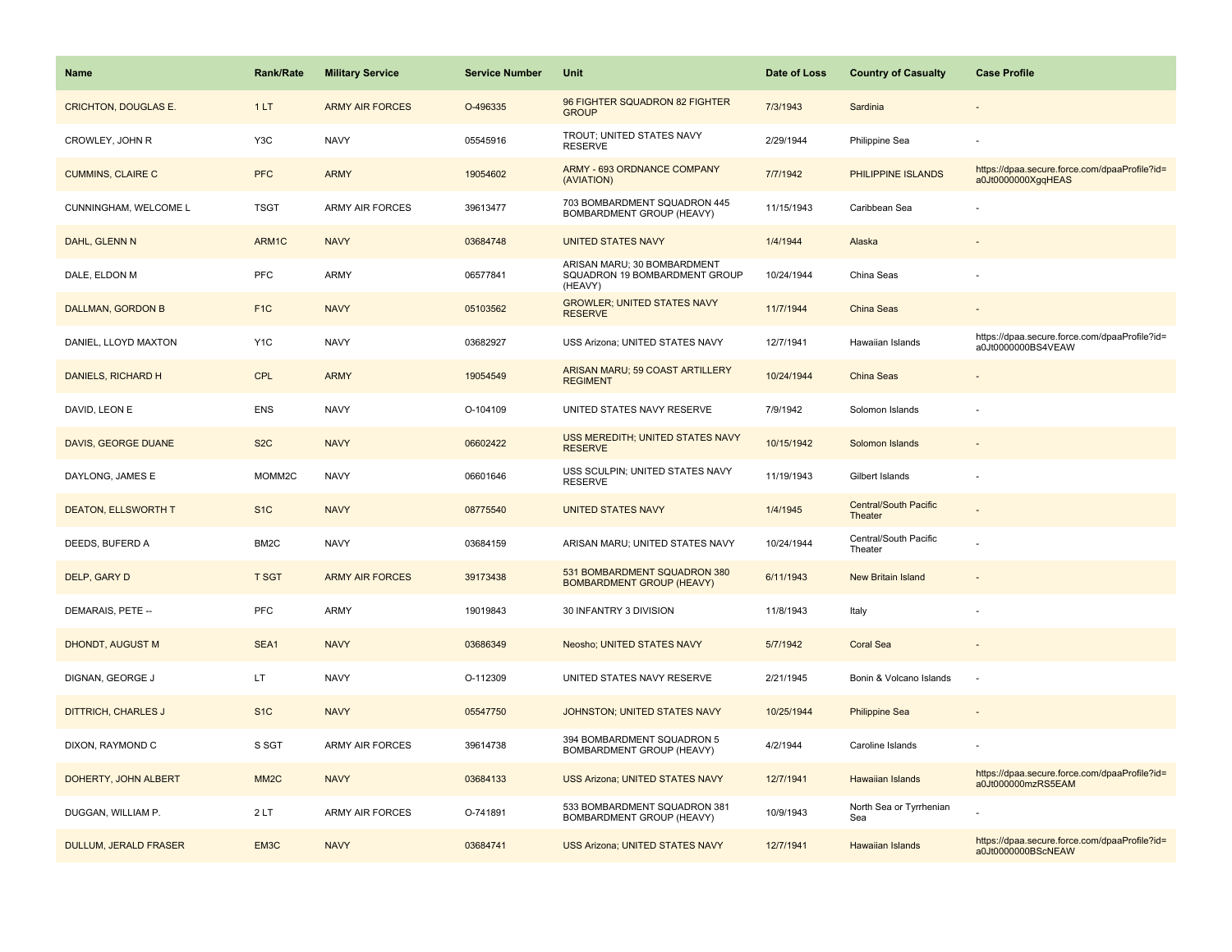| <b>Name</b>                  | <b>Rank/Rate</b>   | <b>Military Service</b> | <b>Service Number</b> | Unit                                                                    | Date of Loss | <b>Country of Casualty</b>              | <b>Case Profile</b>                                                 |
|------------------------------|--------------------|-------------------------|-----------------------|-------------------------------------------------------------------------|--------------|-----------------------------------------|---------------------------------------------------------------------|
| <b>CRICHTON, DOUGLAS E.</b>  | 1LT                | <b>ARMY AIR FORCES</b>  | O-496335              | 96 FIGHTER SQUADRON 82 FIGHTER<br><b>GROUP</b>                          | 7/3/1943     | Sardinia                                |                                                                     |
| CROWLEY, JOHN R              | Y <sub>3</sub> C   | <b>NAVY</b>             | 05545916              | TROUT; UNITED STATES NAVY<br><b>RESERVE</b>                             | 2/29/1944    | Philippine Sea                          |                                                                     |
| <b>CUMMINS, CLAIRE C</b>     | <b>PFC</b>         | <b>ARMY</b>             | 19054602              | ARMY - 693 ORDNANCE COMPANY<br>(AVIATION)                               | 7/7/1942     | PHILIPPINE ISLANDS                      | https://dpaa.secure.force.com/dpaaProfile?id=<br>a0Jt0000000XgqHEAS |
| CUNNINGHAM, WELCOME L        | <b>TSGT</b>        | <b>ARMY AIR FORCES</b>  | 39613477              | 703 BOMBARDMENT SQUADRON 445<br><b>BOMBARDMENT GROUP (HEAVY)</b>        | 11/15/1943   | Caribbean Sea                           |                                                                     |
| DAHL, GLENN N                | ARM1C              | <b>NAVY</b>             | 03684748              | <b>UNITED STATES NAVY</b>                                               | 1/4/1944     | Alaska                                  |                                                                     |
| DALE, ELDON M                | PFC                | <b>ARMY</b>             | 06577841              | ARISAN MARU; 30 BOMBARDMENT<br>SQUADRON 19 BOMBARDMENT GROUP<br>(HEAVY) | 10/24/1944   | China Seas                              |                                                                     |
| DALLMAN, GORDON B            | F <sub>1</sub> C   | <b>NAVY</b>             | 05103562              | <b>GROWLER; UNITED STATES NAVY</b><br><b>RESERVE</b>                    | 11/7/1944    | China Seas                              |                                                                     |
| DANIEL, LLOYD MAXTON         | Y <sub>1</sub> C   | <b>NAVY</b>             | 03682927              | USS Arizona; UNITED STATES NAVY                                         | 12/7/1941    | Hawaiian Islands                        | https://dpaa.secure.force.com/dpaaProfile?id=<br>a0Jt0000000BS4VEAW |
| DANIELS, RICHARD H           | <b>CPL</b>         | <b>ARMY</b>             | 19054549              | ARISAN MARU; 59 COAST ARTILLERY<br><b>REGIMENT</b>                      | 10/24/1944   | China Seas                              |                                                                     |
| DAVID, LEON E                | <b>ENS</b>         | <b>NAVY</b>             | O-104109              | UNITED STATES NAVY RESERVE                                              | 7/9/1942     | Solomon Islands                         |                                                                     |
| DAVIS, GEORGE DUANE          | S <sub>2</sub> C   | <b>NAVY</b>             | 06602422              | USS MEREDITH; UNITED STATES NAVY<br><b>RESERVE</b>                      | 10/15/1942   | Solomon Islands                         |                                                                     |
| DAYLONG, JAMES E             | MOMM <sub>2C</sub> | <b>NAVY</b>             | 06601646              | USS SCULPIN; UNITED STATES NAVY<br><b>RESERVE</b>                       | 11/19/1943   | Gilbert Islands                         |                                                                     |
| <b>DEATON, ELLSWORTH T</b>   | S <sub>1C</sub>    | <b>NAVY</b>             | 08775540              | <b>UNITED STATES NAVY</b>                                               | 1/4/1945     | <b>Central/South Pacific</b><br>Theater |                                                                     |
| DEEDS, BUFERD A              | BM <sub>2</sub> C  | <b>NAVY</b>             | 03684159              | ARISAN MARU; UNITED STATES NAVY                                         | 10/24/1944   | Central/South Pacific<br>Theater        |                                                                     |
| DELP, GARY D                 | <b>T SGT</b>       | <b>ARMY AIR FORCES</b>  | 39173438              | 531 BOMBARDMENT SQUADRON 380<br><b>BOMBARDMENT GROUP (HEAVY)</b>        | 6/11/1943    | <b>New Britain Island</b>               |                                                                     |
| DEMARAIS, PETE --            | <b>PFC</b>         | <b>ARMY</b>             | 19019843              | 30 INFANTRY 3 DIVISION                                                  | 11/8/1943    | Italy                                   |                                                                     |
| DHONDT, AUGUST M             | SEA1               | <b>NAVY</b>             | 03686349              | Neosho; UNITED STATES NAVY                                              | 5/7/1942     | <b>Coral Sea</b>                        |                                                                     |
| DIGNAN, GEORGE J             | LT.                | <b>NAVY</b>             | O-112309              | UNITED STATES NAVY RESERVE                                              | 2/21/1945    | Bonin & Volcano Islands                 | ÷,                                                                  |
| <b>DITTRICH, CHARLES J</b>   | S <sub>1</sub> C   | <b>NAVY</b>             | 05547750              | JOHNSTON; UNITED STATES NAVY                                            | 10/25/1944   | <b>Philippine Sea</b>                   |                                                                     |
| DIXON, RAYMOND C             | S SGT              | <b>ARMY AIR FORCES</b>  | 39614738              | 394 BOMBARDMENT SQUADRON 5<br>BOMBARDMENT GROUP (HEAVY)                 | 4/2/1944     | Caroline Islands                        |                                                                     |
| DOHERTY, JOHN ALBERT         | MM <sub>2</sub> C  | <b>NAVY</b>             | 03684133              | USS Arizona; UNITED STATES NAVY                                         | 12/7/1941    | <b>Hawaiian Islands</b>                 | https://dpaa.secure.force.com/dpaaProfile?id=<br>a0Jt000000mzRS5EAM |
| DUGGAN, WILLIAM P.           | 2LT                | <b>ARMY AIR FORCES</b>  | O-741891              | 533 BOMBARDMENT SQUADRON 381<br><b>BOMBARDMENT GROUP (HEAVY)</b>        | 10/9/1943    | North Sea or Tyrrhenian<br>Sea          |                                                                     |
| <b>DULLUM, JERALD FRASER</b> | EM3C               | <b>NAVY</b>             | 03684741              | USS Arizona; UNITED STATES NAVY                                         | 12/7/1941    | Hawaiian Islands                        | https://dpaa.secure.force.com/dpaaProfile?id=<br>a0Jt0000000BScNEAW |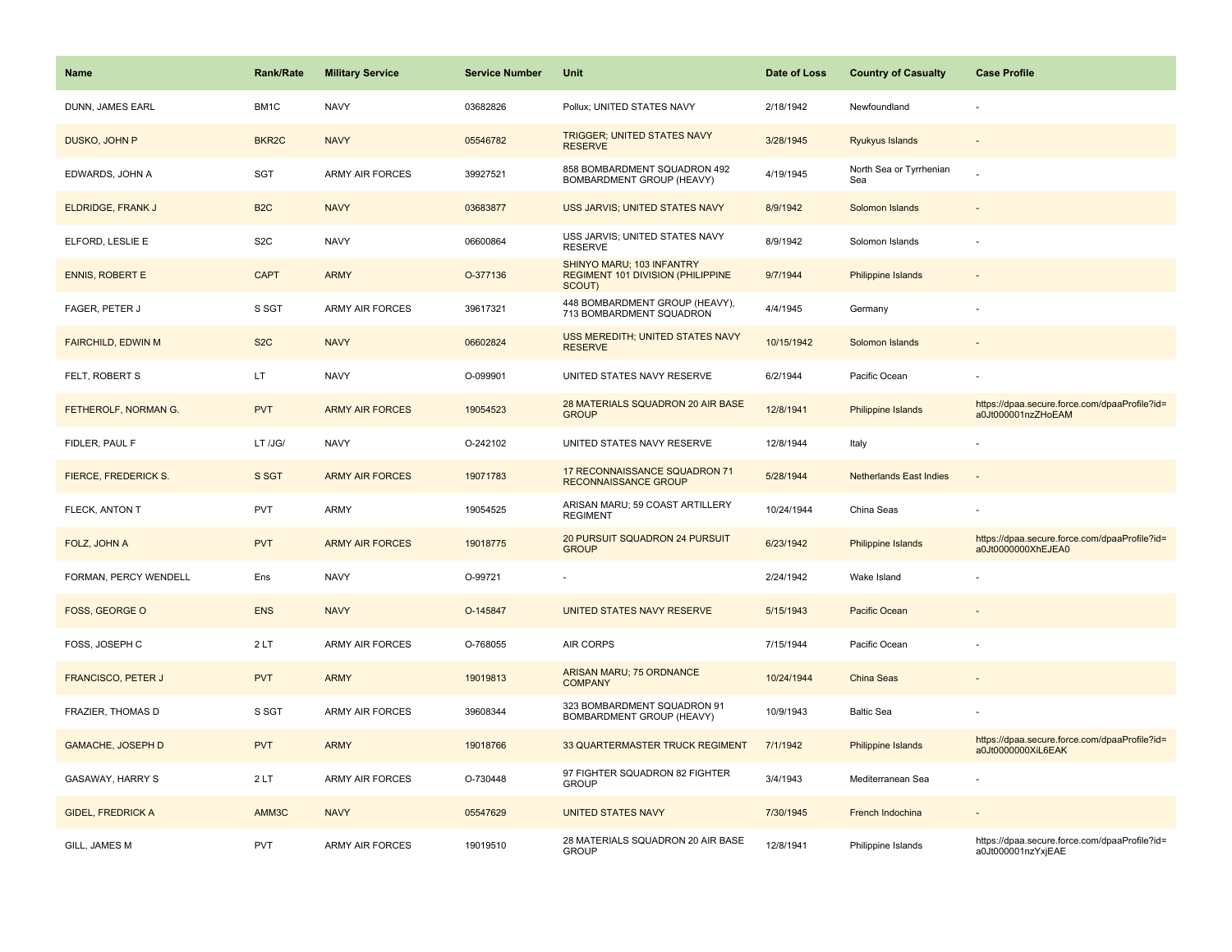| Name                        | Rank/Rate         | <b>Military Service</b> | <b>Service Number</b> | Unit                                                                     | Date of Loss | <b>Country of Casualty</b>     | <b>Case Profile</b>                                                 |
|-----------------------------|-------------------|-------------------------|-----------------------|--------------------------------------------------------------------------|--------------|--------------------------------|---------------------------------------------------------------------|
| DUNN, JAMES EARL            | BM1C              | <b>NAVY</b>             | 03682826              | Pollux; UNITED STATES NAVY                                               | 2/18/1942    | Newfoundland                   |                                                                     |
| DUSKO, JOHN P               | BKR <sub>2C</sub> | <b>NAVY</b>             | 05546782              | <b>TRIGGER; UNITED STATES NAVY</b><br><b>RESERVE</b>                     | 3/28/1945    | Ryukyus Islands                |                                                                     |
| EDWARDS, JOHN A             | SGT               | ARMY AIR FORCES         | 39927521              | 858 BOMBARDMENT SQUADRON 492<br>BOMBARDMENT GROUP (HEAVY)                | 4/19/1945    | North Sea or Tyrrhenian<br>Sea |                                                                     |
| <b>ELDRIDGE, FRANK J</b>    | B <sub>2C</sub>   | <b>NAVY</b>             | 03683877              | USS JARVIS; UNITED STATES NAVY                                           | 8/9/1942     | Solomon Islands                |                                                                     |
| ELFORD, LESLIE E            | S <sub>2</sub> C  | <b>NAVY</b>             | 06600864              | USS JARVIS; UNITED STATES NAVY<br><b>RESERVE</b>                         | 8/9/1942     | Solomon Islands                |                                                                     |
| <b>ENNIS, ROBERT E</b>      | <b>CAPT</b>       | <b>ARMY</b>             | O-377136              | SHINYO MARU; 103 INFANTRY<br>REGIMENT 101 DIVISION (PHILIPPINE<br>SCOUT) | 9/7/1944     | <b>Philippine Islands</b>      |                                                                     |
| FAGER, PETER J              | S SGT             | <b>ARMY AIR FORCES</b>  | 39617321              | 448 BOMBARDMENT GROUP (HEAVY),<br>713 BOMBARDMENT SQUADRON               | 4/4/1945     | Germany                        |                                                                     |
| FAIRCHILD, EDWIN M          | S <sub>2</sub> C  | <b>NAVY</b>             | 06602824              | USS MEREDITH; UNITED STATES NAVY<br><b>RESERVE</b>                       | 10/15/1942   | Solomon Islands                |                                                                     |
| FELT, ROBERT S              | LT.               | <b>NAVY</b>             | O-099901              | UNITED STATES NAVY RESERVE                                               | 6/2/1944     | Pacific Ocean                  |                                                                     |
| FETHEROLF, NORMAN G.        | <b>PVT</b>        | <b>ARMY AIR FORCES</b>  | 19054523              | 28 MATERIALS SQUADRON 20 AIR BASE<br><b>GROUP</b>                        | 12/8/1941    | <b>Philippine Islands</b>      | https://dpaa.secure.force.com/dpaaProfile?id=<br>a0Jt000001nzZHoEAM |
| FIDLER, PAUL F              | LT /JG/           | <b>NAVY</b>             | O-242102              | UNITED STATES NAVY RESERVE                                               | 12/8/1944    | Italy                          |                                                                     |
| <b>FIERCE, FREDERICK S.</b> | S SGT             | <b>ARMY AIR FORCES</b>  | 19071783              | 17 RECONNAISSANCE SQUADRON 71<br>RECONNAISSANCE GROUP                    | 5/28/1944    | <b>Netherlands East Indies</b> |                                                                     |
| FLECK, ANTON T              | <b>PVT</b>        | <b>ARMY</b>             | 19054525              | ARISAN MARU; 59 COAST ARTILLERY<br><b>REGIMENT</b>                       | 10/24/1944   | China Seas                     |                                                                     |
| FOLZ, JOHN A                | <b>PVT</b>        | <b>ARMY AIR FORCES</b>  | 19018775              | 20 PURSUIT SQUADRON 24 PURSUIT<br><b>GROUP</b>                           | 6/23/1942    | Philippine Islands             | https://dpaa.secure.force.com/dpaaProfile?id=<br>a0Jt0000000XhEJEA0 |
| FORMAN, PERCY WENDELL       | Ens               | <b>NAVY</b>             | O-99721               |                                                                          | 2/24/1942    | Wake Island                    |                                                                     |
| FOSS, GEORGE O              | <b>ENS</b>        | <b>NAVY</b>             | O-145847              | UNITED STATES NAVY RESERVE                                               | 5/15/1943    | Pacific Ocean                  |                                                                     |
| FOSS, JOSEPH C              | 2LT               | ARMY AIR FORCES         | O-768055              | AIR CORPS                                                                | 7/15/1944    | Pacific Ocean                  |                                                                     |
| <b>FRANCISCO, PETER J</b>   | <b>PVT</b>        | <b>ARMY</b>             | 19019813              | ARISAN MARU; 75 ORDNANCE<br><b>COMPANY</b>                               | 10/24/1944   | China Seas                     |                                                                     |
| FRAZIER, THOMAS D           | S SGT             | <b>ARMY AIR FORCES</b>  | 39608344              | 323 BOMBARDMENT SQUADRON 91<br>BOMBARDMENT GROUP (HEAVY)                 | 10/9/1943    | <b>Baltic Sea</b>              |                                                                     |
| <b>GAMACHE, JOSEPH D</b>    | <b>PVT</b>        | <b>ARMY</b>             | 19018766              | 33 QUARTERMASTER TRUCK REGIMENT                                          | 7/1/1942     | Philippine Islands             | https://dpaa.secure.force.com/dpaaProfile?id=<br>a0Jt0000000XiL6EAK |
| GASAWAY, HARRY S            | 2LT               | <b>ARMY AIR FORCES</b>  | O-730448              | 97 FIGHTER SQUADRON 82 FIGHTER<br><b>GROUP</b>                           | 3/4/1943     | Mediterranean Sea              |                                                                     |
| <b>GIDEL, FREDRICK A</b>    | AMM3C             | <b>NAVY</b>             | 05547629              | <b>UNITED STATES NAVY</b>                                                | 7/30/1945    | French Indochina               |                                                                     |
| GILL, JAMES M               | <b>PVT</b>        | <b>ARMY AIR FORCES</b>  | 19019510              | 28 MATERIALS SQUADRON 20 AIR BASE<br><b>GROUP</b>                        | 12/8/1941    | Philippine Islands             | https://dpaa.secure.force.com/dpaaProfile?id=<br>a0Jt000001nzYxjEAE |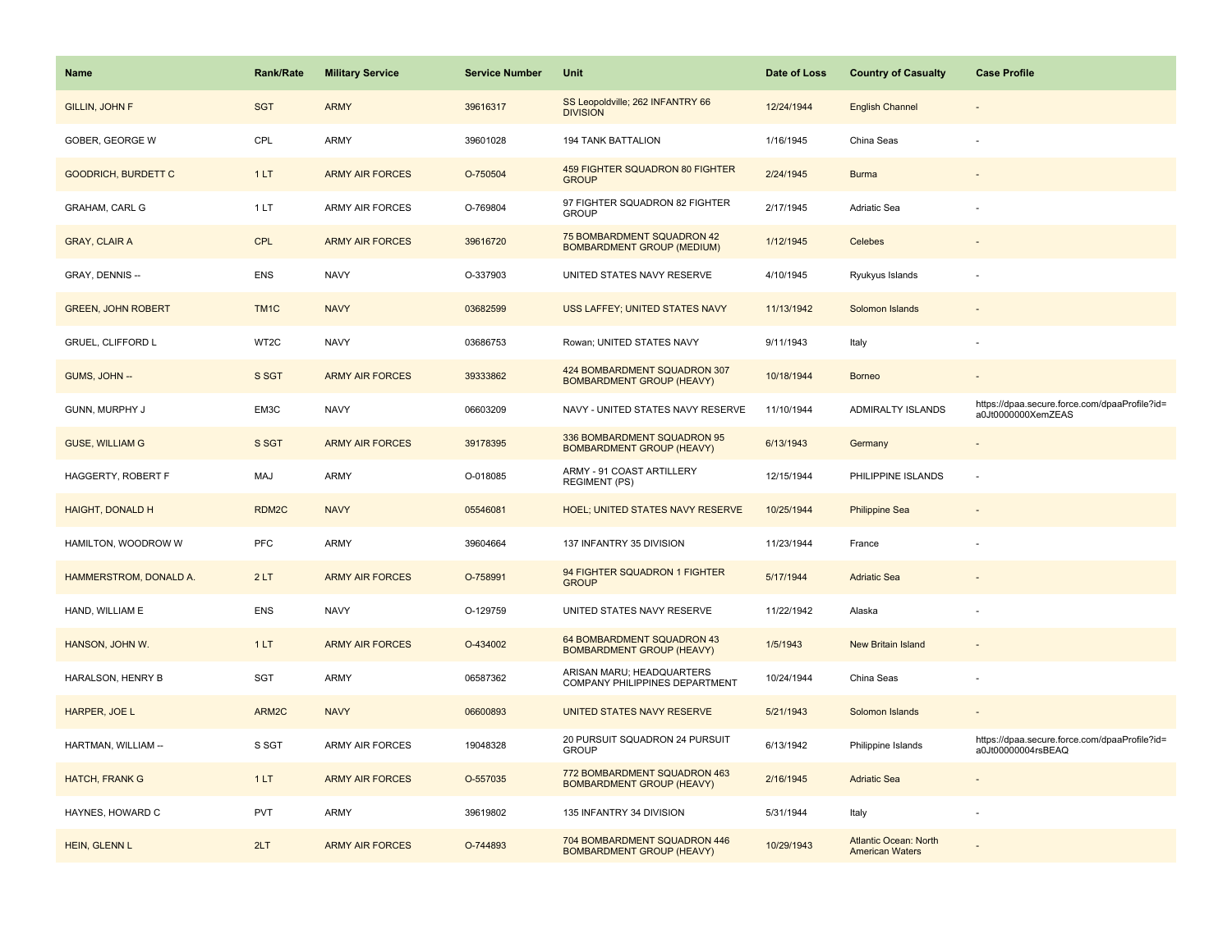| <b>Name</b>                | Rank/Rate         | <b>Military Service</b> | <b>Service Number</b> | Unit                                                                   | Date of Loss | <b>Country of Casualty</b>                             | <b>Case Profile</b>                                                 |
|----------------------------|-------------------|-------------------------|-----------------------|------------------------------------------------------------------------|--------------|--------------------------------------------------------|---------------------------------------------------------------------|
| <b>GILLIN, JOHN F</b>      | <b>SGT</b>        | <b>ARMY</b>             | 39616317              | SS Leopoldville; 262 INFANTRY 66<br><b>DIVISION</b>                    | 12/24/1944   | <b>English Channel</b>                                 |                                                                     |
| GOBER, GEORGE W            | CPL               | ARMY                    | 39601028              | 194 TANK BATTALION                                                     | 1/16/1945    | China Seas                                             |                                                                     |
| <b>GOODRICH, BURDETT C</b> | 1LT               | <b>ARMY AIR FORCES</b>  | O-750504              | <b>459 FIGHTER SQUADRON 80 FIGHTER</b><br><b>GROUP</b>                 | 2/24/1945    | <b>Burma</b>                                           |                                                                     |
| GRAHAM, CARL G             | 1LT               | ARMY AIR FORCES         | O-769804              | 97 FIGHTER SQUADRON 82 FIGHTER<br><b>GROUP</b>                         | 2/17/1945    | Adriatic Sea                                           |                                                                     |
| <b>GRAY, CLAIR A</b>       | <b>CPL</b>        | <b>ARMY AIR FORCES</b>  | 39616720              | <b>75 BOMBARDMENT SQUADRON 42</b><br><b>BOMBARDMENT GROUP (MEDIUM)</b> | 1/12/1945    | Celebes                                                |                                                                     |
| GRAY, DENNIS --            | <b>ENS</b>        | <b>NAVY</b>             | O-337903              | UNITED STATES NAVY RESERVE                                             | 4/10/1945    | Ryukyus Islands                                        |                                                                     |
| <b>GREEN, JOHN ROBERT</b>  | TM <sub>1</sub> C | <b>NAVY</b>             | 03682599              | USS LAFFEY; UNITED STATES NAVY                                         | 11/13/1942   | Solomon Islands                                        | $\overline{\phantom{a}}$                                            |
| GRUEL, CLIFFORD L          | WT2C              | <b>NAVY</b>             | 03686753              | Rowan; UNITED STATES NAVY                                              | 9/11/1943    | Italy                                                  |                                                                     |
| GUMS, JOHN --              | S SGT             | <b>ARMY AIR FORCES</b>  | 39333862              | 424 BOMBARDMENT SQUADRON 307<br><b>BOMBARDMENT GROUP (HEAVY)</b>       | 10/18/1944   | <b>Borneo</b>                                          |                                                                     |
| GUNN, MURPHY J             | EM3C              | <b>NAVY</b>             | 06603209              | NAVY - UNITED STATES NAVY RESERVE                                      | 11/10/1944   | ADMIRALTY ISLANDS                                      | https://dpaa.secure.force.com/dpaaProfile?id=<br>a0Jt0000000XemZEAS |
| <b>GUSE, WILLIAM G</b>     | S SGT             | <b>ARMY AIR FORCES</b>  | 39178395              | 336 BOMBARDMENT SQUADRON 95<br><b>BOMBARDMENT GROUP (HEAVY)</b>        | 6/13/1943    | Germany                                                |                                                                     |
| HAGGERTY, ROBERT F         | MAJ               | <b>ARMY</b>             | O-018085              | ARMY - 91 COAST ARTILLERY<br><b>REGIMENT (PS)</b>                      | 12/15/1944   | PHILIPPINE ISLANDS                                     |                                                                     |
| <b>HAIGHT, DONALD H</b>    | RDM2C             | <b>NAVY</b>             | 05546081              | <b>HOEL: UNITED STATES NAVY RESERVE</b>                                | 10/25/1944   | <b>Philippine Sea</b>                                  |                                                                     |
| HAMILTON, WOODROW W        | PFC               | <b>ARMY</b>             | 39604664              | 137 INFANTRY 35 DIVISION                                               | 11/23/1944   | France                                                 |                                                                     |
| HAMMERSTROM, DONALD A.     | 2LT               | <b>ARMY AIR FORCES</b>  | O-758991              | 94 FIGHTER SQUADRON 1 FIGHTER<br><b>GROUP</b>                          | 5/17/1944    | <b>Adriatic Sea</b>                                    |                                                                     |
| HAND, WILLIAM E            | <b>ENS</b>        | <b>NAVY</b>             | O-129759              | UNITED STATES NAVY RESERVE                                             | 11/22/1942   | Alaska                                                 |                                                                     |
| HANSON, JOHN W.            | 1LT               | <b>ARMY AIR FORCES</b>  | O-434002              | 64 BOMBARDMENT SQUADRON 43<br><b>BOMBARDMENT GROUP (HEAVY)</b>         | 1/5/1943     | <b>New Britain Island</b>                              |                                                                     |
| HARALSON, HENRY B          | SGT               | <b>ARMY</b>             | 06587362              | ARISAN MARU; HEADQUARTERS<br>COMPANY PHILIPPINES DEPARTMENT            | 10/24/1944   | China Seas                                             |                                                                     |
| HARPER, JOE L              | ARM2C             | <b>NAVY</b>             | 06600893              | UNITED STATES NAVY RESERVE                                             | 5/21/1943    | Solomon Islands                                        |                                                                     |
| HARTMAN, WILLIAM --        | S SGT             | ARMY AIR FORCES         | 19048328              | 20 PURSUIT SQUADRON 24 PURSUIT<br><b>GROUP</b>                         | 6/13/1942    | Philippine Islands                                     | https://dpaa.secure.force.com/dpaaProfile?id=<br>a0Jt00000004rsBEAQ |
| <b>HATCH, FRANK G</b>      | 1LT               | <b>ARMY AIR FORCES</b>  | O-557035              | 772 BOMBARDMENT SQUADRON 463<br><b>BOMBARDMENT GROUP (HEAVY)</b>       | 2/16/1945    | <b>Adriatic Sea</b>                                    |                                                                     |
| HAYNES, HOWARD C           | <b>PVT</b>        | <b>ARMY</b>             | 39619802              | 135 INFANTRY 34 DIVISION                                               | 5/31/1944    | Italy                                                  |                                                                     |
| HEIN, GLENN L              | 2LT               | <b>ARMY AIR FORCES</b>  | O-744893              | 704 BOMBARDMENT SQUADRON 446<br><b>BOMBARDMENT GROUP (HEAVY)</b>       | 10/29/1943   | <b>Atlantic Ocean: North</b><br><b>American Waters</b> |                                                                     |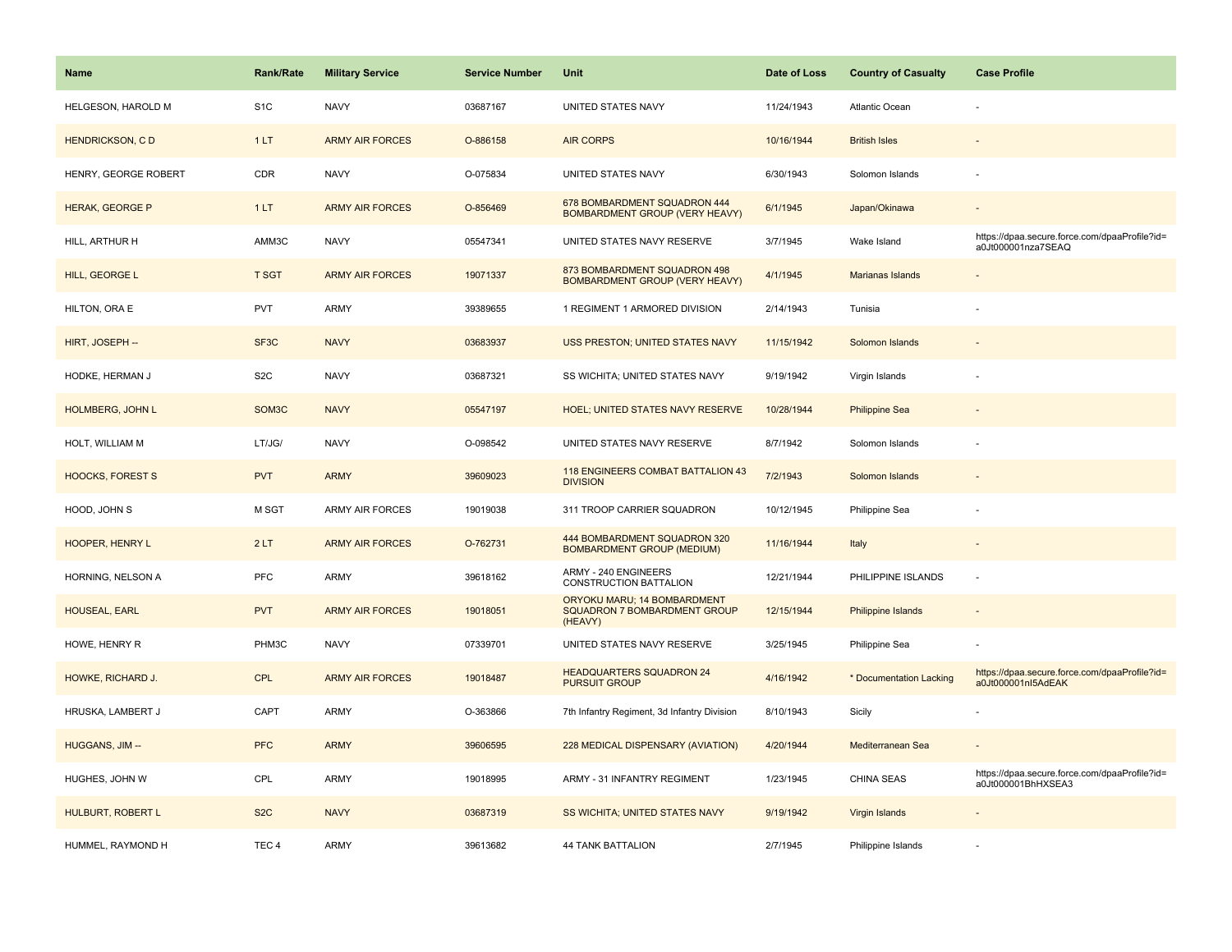| <b>Name</b>             | <b>Rank/Rate</b>   | <b>Military Service</b> | <b>Service Number</b> | Unit                                                                   | Date of Loss | <b>Country of Casualty</b> | <b>Case Profile</b>                                                 |
|-------------------------|--------------------|-------------------------|-----------------------|------------------------------------------------------------------------|--------------|----------------------------|---------------------------------------------------------------------|
| HELGESON, HAROLD M      | S <sub>1</sub> C   | <b>NAVY</b>             | 03687167              | UNITED STATES NAVY                                                     | 11/24/1943   | <b>Atlantic Ocean</b>      |                                                                     |
| <b>HENDRICKSON, CD</b>  | 1LT                | <b>ARMY AIR FORCES</b>  | O-886158              | <b>AIR CORPS</b>                                                       | 10/16/1944   | <b>British Isles</b>       |                                                                     |
| HENRY, GEORGE ROBERT    | <b>CDR</b>         | <b>NAVY</b>             | O-075834              | UNITED STATES NAVY                                                     | 6/30/1943    | Solomon Islands            |                                                                     |
| <b>HERAK, GEORGE P</b>  | 1LT                | <b>ARMY AIR FORCES</b>  | O-856469              | 678 BOMBARDMENT SQUADRON 444<br><b>BOMBARDMENT GROUP (VERY HEAVY)</b>  | 6/1/1945     | Japan/Okinawa              |                                                                     |
| HILL, ARTHUR H          | AMM3C              | <b>NAVY</b>             | 05547341              | UNITED STATES NAVY RESERVE                                             | 3/7/1945     | Wake Island                | https://dpaa.secure.force.com/dpaaProfile?id=<br>a0Jt000001nza7SEAQ |
| HILL, GEORGE L          | <b>T SGT</b>       | <b>ARMY AIR FORCES</b>  | 19071337              | 873 BOMBARDMENT SQUADRON 498<br><b>BOMBARDMENT GROUP (VERY HEAVY)</b>  | 4/1/1945     | Marianas Islands           |                                                                     |
| HILTON, ORA E           | PVT                | <b>ARMY</b>             | 39389655              | 1 REGIMENT 1 ARMORED DIVISION                                          | 2/14/1943    | Tunisia                    |                                                                     |
| HIRT, JOSEPH --         | SF3C               | <b>NAVY</b>             | 03683937              | <b>USS PRESTON; UNITED STATES NAVY</b>                                 | 11/15/1942   | Solomon Islands            |                                                                     |
| HODKE, HERMAN J         | S <sub>2</sub> C   | <b>NAVY</b>             | 03687321              | SS WICHITA; UNITED STATES NAVY                                         | 9/19/1942    | Virgin Islands             |                                                                     |
| <b>HOLMBERG, JOHN L</b> | SOM <sub>3</sub> C | <b>NAVY</b>             | 05547197              | HOEL; UNITED STATES NAVY RESERVE                                       | 10/28/1944   | <b>Philippine Sea</b>      |                                                                     |
| HOLT, WILLIAM M         | LT/JG/             | <b>NAVY</b>             | O-098542              | UNITED STATES NAVY RESERVE                                             | 8/7/1942     | Solomon Islands            |                                                                     |
| <b>HOOCKS, FOREST S</b> | <b>PVT</b>         | <b>ARMY</b>             | 39609023              | <b>118 ENGINEERS COMBAT BATTALION 43</b><br><b>DIVISION</b>            | 7/2/1943     | Solomon Islands            | $\sim$                                                              |
| HOOD, JOHN S            | M SGT              | <b>ARMY AIR FORCES</b>  | 19019038              | 311 TROOP CARRIER SQUADRON                                             | 10/12/1945   | Philippine Sea             |                                                                     |
| HOOPER, HENRY L         | 2LT                | <b>ARMY AIR FORCES</b>  | O-762731              | 444 BOMBARDMENT SQUADRON 320<br><b>BOMBARDMENT GROUP (MEDIUM)</b>      | 11/16/1944   | Italy                      | $\overline{a}$                                                      |
| HORNING, NELSON A       | PFC                | <b>ARMY</b>             | 39618162              | ARMY - 240 ENGINEERS<br>CONSTRUCTION BATTALION                         | 12/21/1944   | PHILIPPINE ISLANDS         | ÷,                                                                  |
| HOUSEAL, EARL           | <b>PVT</b>         | <b>ARMY AIR FORCES</b>  | 19018051              | ORYOKU MARU; 14 BOMBARDMENT<br>SQUADRON 7 BOMBARDMENT GROUP<br>(HEAVY) | 12/15/1944   | <b>Philippine Islands</b>  |                                                                     |
| HOWE, HENRY R           | PHM3C              | <b>NAVY</b>             | 07339701              | UNITED STATES NAVY RESERVE                                             | 3/25/1945    | Philippine Sea             |                                                                     |
| HOWKE, RICHARD J.       | <b>CPL</b>         | <b>ARMY AIR FORCES</b>  | 19018487              | <b>HEADQUARTERS SQUADRON 24</b><br><b>PURSUIT GROUP</b>                | 4/16/1942    | * Documentation Lacking    | https://dpaa.secure.force.com/dpaaProfile?id=<br>a0Jt000001nl5AdEAK |
| HRUSKA, LAMBERT J       | CAPT               | <b>ARMY</b>             | O-363866              | 7th Infantry Regiment, 3d Infantry Division                            | 8/10/1943    | Sicily                     |                                                                     |
| HUGGANS, JIM --         | <b>PFC</b>         | <b>ARMY</b>             | 39606595              | 228 MEDICAL DISPENSARY (AVIATION)                                      | 4/20/1944    | Mediterranean Sea          |                                                                     |
| HUGHES, JOHN W          | CPL                | <b>ARMY</b>             | 19018995              | ARMY - 31 INFANTRY REGIMENT                                            | 1/23/1945    | <b>CHINA SEAS</b>          | https://dpaa.secure.force.com/dpaaProfile?id=<br>a0Jt000001BhHXSEA3 |
| HULBURT, ROBERT L       | S <sub>2</sub> C   | <b>NAVY</b>             | 03687319              | SS WICHITA; UNITED STATES NAVY                                         | 9/19/1942    | Virgin Islands             |                                                                     |
| HUMMEL, RAYMOND H       | TEC <sub>4</sub>   | <b>ARMY</b>             | 39613682              | <b>44 TANK BATTALION</b>                                               | 2/7/1945     | Philippine Islands         |                                                                     |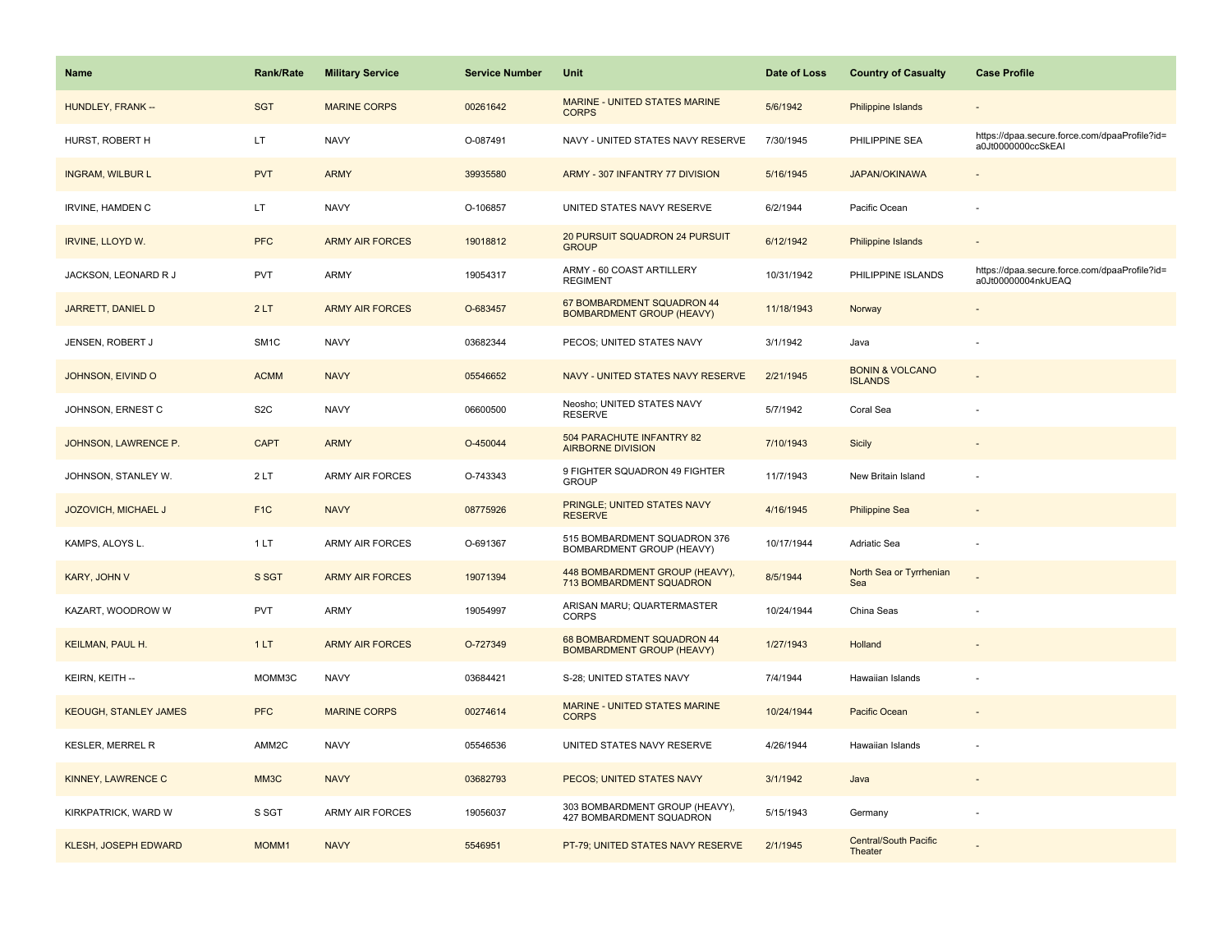| <b>Name</b>                  | Rank/Rate         | <b>Military Service</b> | <b>Service Number</b> | Unit                                                           | Date of Loss | <b>Country of Casualty</b>                   | <b>Case Profile</b>                                                 |
|------------------------------|-------------------|-------------------------|-----------------------|----------------------------------------------------------------|--------------|----------------------------------------------|---------------------------------------------------------------------|
| HUNDLEY, FRANK --            | <b>SGT</b>        | <b>MARINE CORPS</b>     | 00261642              | MARINE - UNITED STATES MARINE<br><b>CORPS</b>                  | 5/6/1942     | <b>Philippine Islands</b>                    |                                                                     |
| HURST, ROBERT H              | LT.               | <b>NAVY</b>             | O-087491              | NAVY - UNITED STATES NAVY RESERVE                              | 7/30/1945    | PHILIPPINE SEA                               | https://dpaa.secure.force.com/dpaaProfile?id=<br>a0Jt0000000ccSkEAI |
| <b>INGRAM, WILBUR L</b>      | <b>PVT</b>        | <b>ARMY</b>             | 39935580              | ARMY - 307 INFANTRY 77 DIVISION                                | 5/16/1945    | <b>JAPAN/OKINAWA</b>                         |                                                                     |
| <b>IRVINE, HAMDEN C</b>      | LT.               | <b>NAVY</b>             | O-106857              | UNITED STATES NAVY RESERVE                                     | 6/2/1944     | Pacific Ocean                                |                                                                     |
| <b>IRVINE, LLOYD W.</b>      | <b>PFC</b>        | <b>ARMY AIR FORCES</b>  | 19018812              | 20 PURSUIT SQUADRON 24 PURSUIT<br><b>GROUP</b>                 | 6/12/1942    | Philippine Islands                           |                                                                     |
| JACKSON, LEONARD R J         | <b>PVT</b>        | <b>ARMY</b>             | 19054317              | ARMY - 60 COAST ARTILLERY<br><b>REGIMENT</b>                   | 10/31/1942   | PHILIPPINE ISLANDS                           | https://dpaa.secure.force.com/dpaaProfile?id=<br>a0Jt00000004nkUEAQ |
| JARRETT, DANIEL D            | 2LT               | <b>ARMY AIR FORCES</b>  | O-683457              | 67 BOMBARDMENT SQUADRON 44<br><b>BOMBARDMENT GROUP (HEAVY)</b> | 11/18/1943   | Norway                                       |                                                                     |
| JENSEN, ROBERT J             | SM <sub>1</sub> C | <b>NAVY</b>             | 03682344              | PECOS; UNITED STATES NAVY                                      | 3/1/1942     | Java                                         | ÷                                                                   |
| JOHNSON, EIVIND O            | <b>ACMM</b>       | <b>NAVY</b>             | 05546652              | NAVY - UNITED STATES NAVY RESERVE                              | 2/21/1945    | <b>BONIN &amp; VOLCANO</b><br><b>ISLANDS</b> |                                                                     |
| JOHNSON, ERNEST C            | S <sub>2</sub> C  | <b>NAVY</b>             | 06600500              | Neosho; UNITED STATES NAVY<br><b>RESERVE</b>                   | 5/7/1942     | Coral Sea                                    |                                                                     |
| JOHNSON, LAWRENCE P.         | <b>CAPT</b>       | <b>ARMY</b>             | O-450044              | 504 PARACHUTE INFANTRY 82<br><b>AIRBORNE DIVISION</b>          | 7/10/1943    | Sicily                                       |                                                                     |
| JOHNSON, STANLEY W.          | 2LT               | <b>ARMY AIR FORCES</b>  | O-743343              | 9 FIGHTER SQUADRON 49 FIGHTER<br><b>GROUP</b>                  | 11/7/1943    | New Britain Island                           |                                                                     |
| JOZOVICH, MICHAEL J          | F <sub>1</sub> C  | <b>NAVY</b>             | 08775926              | PRINGLE; UNITED STATES NAVY<br><b>RESERVE</b>                  | 4/16/1945    | <b>Philippine Sea</b>                        |                                                                     |
| KAMPS, ALOYS L.              | 1LT               | ARMY AIR FORCES         | O-691367              | 515 BOMBARDMENT SQUADRON 376<br>BOMBARDMENT GROUP (HEAVY)      | 10/17/1944   | Adriatic Sea                                 |                                                                     |
| KARY, JOHN V                 | S SGT             | <b>ARMY AIR FORCES</b>  | 19071394              | 448 BOMBARDMENT GROUP (HEAVY),<br>713 BOMBARDMENT SQUADRON     | 8/5/1944     | North Sea or Tyrrhenian<br>Sea               |                                                                     |
| KAZART, WOODROW W            | PVT               | <b>ARMY</b>             | 19054997              | ARISAN MARU; QUARTERMASTER<br><b>CORPS</b>                     | 10/24/1944   | China Seas                                   |                                                                     |
| <b>KEILMAN, PAUL H.</b>      | 1LT               | <b>ARMY AIR FORCES</b>  | O-727349              | 68 BOMBARDMENT SQUADRON 44<br><b>BOMBARDMENT GROUP (HEAVY)</b> | 1/27/1943    | Holland                                      |                                                                     |
| KEIRN, KEITH --              | MOMM3C            | <b>NAVY</b>             | 03684421              | S-28; UNITED STATES NAVY                                       | 7/4/1944     | Hawaiian Islands                             |                                                                     |
| <b>KEOUGH, STANLEY JAMES</b> | <b>PFC</b>        | <b>MARINE CORPS</b>     | 00274614              | <b>MARINE - UNITED STATES MARINE</b><br><b>CORPS</b>           | 10/24/1944   | Pacific Ocean                                |                                                                     |
| <b>KESLER, MERREL R</b>      | AMM2C             | <b>NAVY</b>             | 05546536              | UNITED STATES NAVY RESERVE                                     | 4/26/1944    | Hawaiian Islands                             |                                                                     |
| <b>KINNEY, LAWRENCE C</b>    | MM3C              | <b>NAVY</b>             | 03682793              | PECOS; UNITED STATES NAVY                                      | 3/1/1942     | Java                                         |                                                                     |
| KIRKPATRICK, WARD W          | S SGT             | <b>ARMY AIR FORCES</b>  | 19056037              | 303 BOMBARDMENT GROUP (HEAVY),<br>427 BOMBARDMENT SQUADRON     | 5/15/1943    | Germany                                      |                                                                     |
| <b>KLESH, JOSEPH EDWARD</b>  | MOMM1             | <b>NAVY</b>             | 5546951               | PT-79; UNITED STATES NAVY RESERVE                              | 2/1/1945     | <b>Central/South Pacific</b><br>Theater      |                                                                     |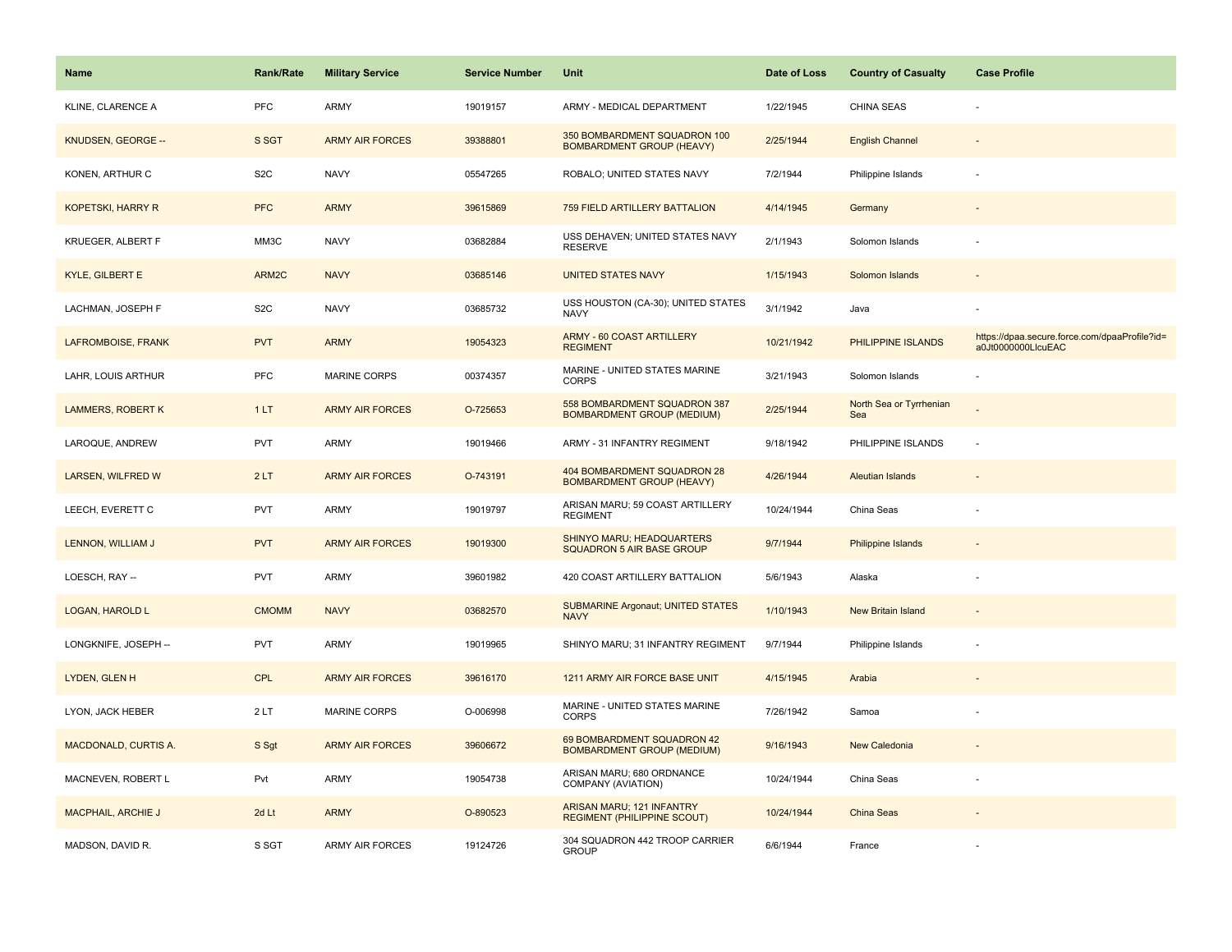| <b>Name</b>                 | <b>Rank/Rate</b> | <b>Military Service</b> | <b>Service Number</b> | Unit                                                              | Date of Loss | <b>Country of Casualty</b>     | <b>Case Profile</b>                                                 |
|-----------------------------|------------------|-------------------------|-----------------------|-------------------------------------------------------------------|--------------|--------------------------------|---------------------------------------------------------------------|
| KLINE, CLARENCE A           | PFC              | <b>ARMY</b>             | 19019157              | ARMY - MEDICAL DEPARTMENT                                         | 1/22/1945    | <b>CHINA SEAS</b>              |                                                                     |
| KNUDSEN, GEORGE --          | S SGT            | <b>ARMY AIR FORCES</b>  | 39388801              | 350 BOMBARDMENT SQUADRON 100<br><b>BOMBARDMENT GROUP (HEAVY)</b>  | 2/25/1944    | <b>English Channel</b>         |                                                                     |
| KONEN, ARTHUR C             | S <sub>2</sub> C | <b>NAVY</b>             | 05547265              | ROBALO; UNITED STATES NAVY                                        | 7/2/1944     | Philippine Islands             |                                                                     |
| <b>KOPETSKI, HARRY R</b>    | <b>PFC</b>       | <b>ARMY</b>             | 39615869              | 759 FIELD ARTILLERY BATTALION                                     | 4/14/1945    | Germany                        |                                                                     |
| <b>KRUEGER, ALBERT F</b>    | MM3C             | <b>NAVY</b>             | 03682884              | USS DEHAVEN; UNITED STATES NAVY<br><b>RESERVE</b>                 | 2/1/1943     | Solomon Islands                |                                                                     |
| <b>KYLE, GILBERT E</b>      | ARM2C            | <b>NAVY</b>             | 03685146              | <b>UNITED STATES NAVY</b>                                         | 1/15/1943    | Solomon Islands                |                                                                     |
| LACHMAN, JOSEPH F           | S <sub>2</sub> C | <b>NAVY</b>             | 03685732              | USS HOUSTON (CA-30); UNITED STATES<br><b>NAVY</b>                 | 3/1/1942     | Java                           |                                                                     |
| LAFROMBOISE, FRANK          | <b>PVT</b>       | <b>ARMY</b>             | 19054323              | ARMY - 60 COAST ARTILLERY<br><b>REGIMENT</b>                      | 10/21/1942   | PHILIPPINE ISLANDS             | https://dpaa.secure.force.com/dpaaProfile?id=<br>a0Jt0000000LlcuEAC |
| LAHR, LOUIS ARTHUR          | PFC              | MARINE CORPS            | 00374357              | MARINE - UNITED STATES MARINE<br>CORPS                            | 3/21/1943    | Solomon Islands                |                                                                     |
| <b>LAMMERS, ROBERT K</b>    | 1LT              | <b>ARMY AIR FORCES</b>  | O-725653              | 558 BOMBARDMENT SQUADRON 387<br><b>BOMBARDMENT GROUP (MEDIUM)</b> | 2/25/1944    | North Sea or Tyrrhenian<br>Sea |                                                                     |
| LAROQUE, ANDREW             | <b>PVT</b>       | <b>ARMY</b>             | 19019466              | ARMY - 31 INFANTRY REGIMENT                                       | 9/18/1942    | PHILIPPINE ISLANDS             |                                                                     |
| LARSEN, WILFRED W           | 2LT              | <b>ARMY AIR FORCES</b>  | O-743191              | 404 BOMBARDMENT SQUADRON 28<br><b>BOMBARDMENT GROUP (HEAVY)</b>   | 4/26/1944    | Aleutian Islands               | $\sim$                                                              |
| LEECH, EVERETT C            | <b>PVT</b>       | <b>ARMY</b>             | 19019797              | ARISAN MARU; 59 COAST ARTILLERY<br><b>REGIMENT</b>                | 10/24/1944   | China Seas                     |                                                                     |
| LENNON, WILLIAM J           | <b>PVT</b>       | <b>ARMY AIR FORCES</b>  | 19019300              | SHINYO MARU; HEADQUARTERS<br><b>SQUADRON 5 AIR BASE GROUP</b>     | 9/7/1944     | Philippine Islands             |                                                                     |
| LOESCH, RAY --              | <b>PVT</b>       | <b>ARMY</b>             | 39601982              | 420 COAST ARTILLERY BATTALION                                     | 5/6/1943     | Alaska                         |                                                                     |
| LOGAN, HAROLD L             | <b>CMOMM</b>     | <b>NAVY</b>             | 03682570              | <b>SUBMARINE Argonaut; UNITED STATES</b><br><b>NAVY</b>           | 1/10/1943    | <b>New Britain Island</b>      |                                                                     |
| LONGKNIFE, JOSEPH --        | <b>PVT</b>       | ARMY                    | 19019965              | SHINYO MARU; 31 INFANTRY REGIMENT                                 | 9/7/1944     | Philippine Islands             |                                                                     |
| LYDEN, GLEN H               | <b>CPL</b>       | <b>ARMY AIR FORCES</b>  | 39616170              | 1211 ARMY AIR FORCE BASE UNIT                                     | 4/15/1945    | Arabia                         |                                                                     |
| LYON, JACK HEBER            | 2LT              | MARINE CORPS            | O-006998              | MARINE - UNITED STATES MARINE<br><b>CORPS</b>                     | 7/26/1942    | Samoa                          |                                                                     |
| <b>MACDONALD, CURTIS A.</b> | S Sgt            | <b>ARMY AIR FORCES</b>  | 39606672              | 69 BOMBARDMENT SQUADRON 42<br><b>BOMBARDMENT GROUP (MEDIUM)</b>   | 9/16/1943    | New Caledonia                  |                                                                     |
| MACNEVEN, ROBERT L          | Pvt              | <b>ARMY</b>             | 19054738              | ARISAN MARU; 680 ORDNANCE<br>COMPANY (AVIATION)                   | 10/24/1944   | China Seas                     |                                                                     |
| <b>MACPHAIL, ARCHIE J</b>   | 2d Lt            | <b>ARMY</b>             | O-890523              | ARISAN MARU; 121 INFANTRY<br><b>REGIMENT (PHILIPPINE SCOUT)</b>   | 10/24/1944   | China Seas                     |                                                                     |
| MADSON, DAVID R.            | S SGT            | ARMY AIR FORCES         | 19124726              | 304 SQUADRON 442 TROOP CARRIER<br><b>GROUP</b>                    | 6/6/1944     | France                         |                                                                     |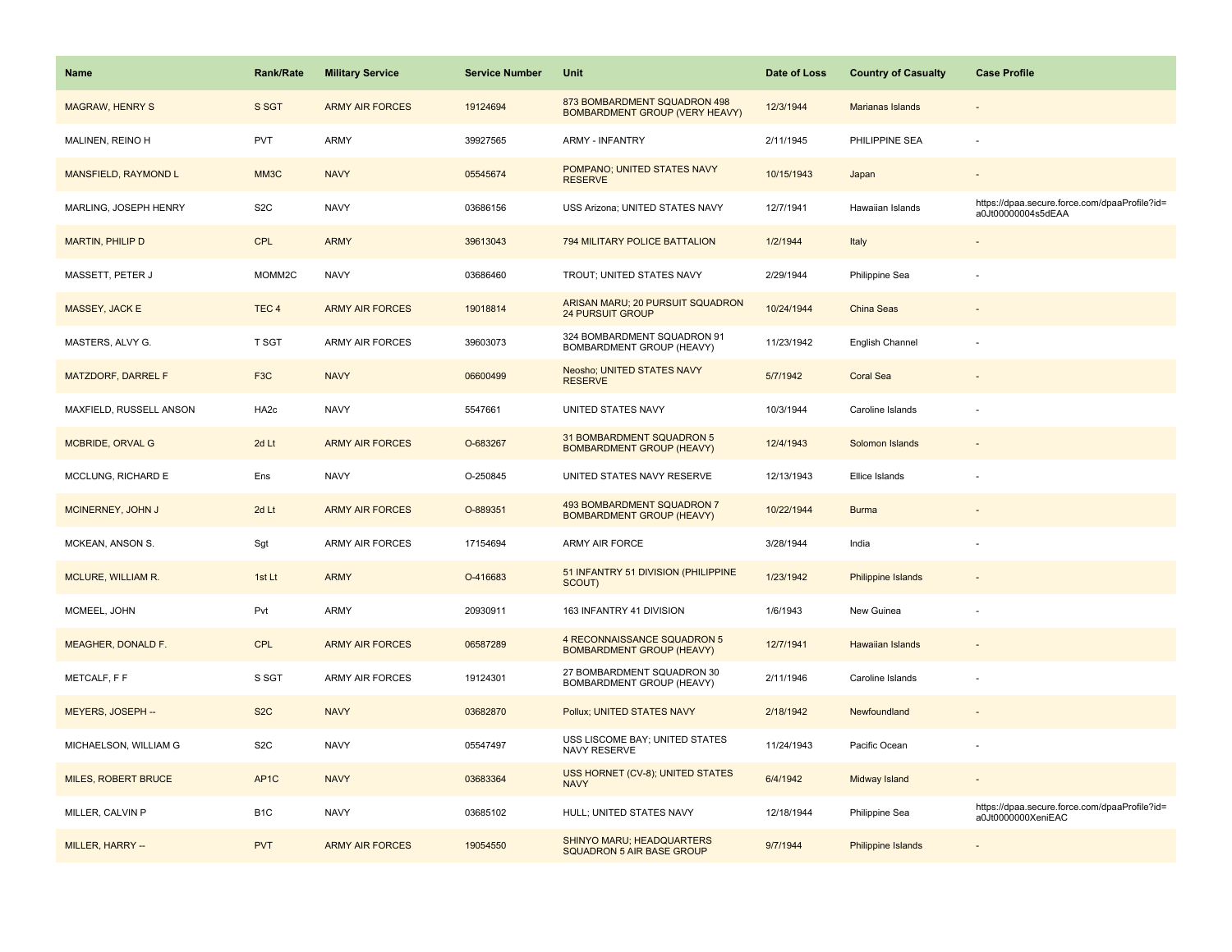| <b>Name</b>             | <b>Rank/Rate</b> | <b>Military Service</b> | <b>Service Number</b> | Unit                                                                  | Date of Loss | <b>Country of Casualty</b> | <b>Case Profile</b>                                                 |
|-------------------------|------------------|-------------------------|-----------------------|-----------------------------------------------------------------------|--------------|----------------------------|---------------------------------------------------------------------|
| <b>MAGRAW, HENRY S</b>  | S SGT            | <b>ARMY AIR FORCES</b>  | 19124694              | 873 BOMBARDMENT SQUADRON 498<br><b>BOMBARDMENT GROUP (VERY HEAVY)</b> | 12/3/1944    | Marianas Islands           |                                                                     |
| MALINEN, REINO H        | <b>PVT</b>       | <b>ARMY</b>             | 39927565              | <b>ARMY - INFANTRY</b>                                                | 2/11/1945    | PHILIPPINE SEA             | $\sim$                                                              |
| MANSFIELD, RAYMOND L    | MM3C             | <b>NAVY</b>             | 05545674              | POMPANO; UNITED STATES NAVY<br><b>RESERVE</b>                         | 10/15/1943   | Japan                      |                                                                     |
| MARLING, JOSEPH HENRY   | S <sub>2</sub> C | <b>NAVY</b>             | 03686156              | USS Arizona; UNITED STATES NAVY                                       | 12/7/1941    | Hawaiian Islands           | https://dpaa.secure.force.com/dpaaProfile?id=<br>a0Jt00000004s5dEAA |
| <b>MARTIN, PHILIP D</b> | <b>CPL</b>       | <b>ARMY</b>             | 39613043              | 794 MILITARY POLICE BATTALION                                         | 1/2/1944     | Italy                      |                                                                     |
| MASSETT, PETER J        | MOMM2C           | <b>NAVY</b>             | 03686460              | TROUT; UNITED STATES NAVY                                             | 2/29/1944    | Philippine Sea             |                                                                     |
| MASSEY, JACK E          | TEC <sub>4</sub> | <b>ARMY AIR FORCES</b>  | 19018814              | ARISAN MARU; 20 PURSUIT SQUADRON<br><b>24 PURSUIT GROUP</b>           | 10/24/1944   | China Seas                 |                                                                     |
| MASTERS, ALVY G.        | T SGT            | <b>ARMY AIR FORCES</b>  | 39603073              | 324 BOMBARDMENT SQUADRON 91<br>BOMBARDMENT GROUP (HEAVY)              | 11/23/1942   | English Channel            |                                                                     |
| MATZDORF, DARREL F      | F <sub>3</sub> C | <b>NAVY</b>             | 06600499              | Neosho; UNITED STATES NAVY<br><b>RESERVE</b>                          | 5/7/1942     | <b>Coral Sea</b>           |                                                                     |
| MAXFIELD, RUSSELL ANSON | HA <sub>2c</sub> | <b>NAVY</b>             | 5547661               | UNITED STATES NAVY                                                    | 10/3/1944    | Caroline Islands           |                                                                     |
| <b>MCBRIDE, ORVAL G</b> | 2d Lt            | <b>ARMY AIR FORCES</b>  | O-683267              | 31 BOMBARDMENT SQUADRON 5<br><b>BOMBARDMENT GROUP (HEAVY)</b>         | 12/4/1943    | Solomon Islands            |                                                                     |
| MCCLUNG, RICHARD E      | Ens              | <b>NAVY</b>             | O-250845              | UNITED STATES NAVY RESERVE                                            | 12/13/1943   | Ellice Islands             |                                                                     |
| MCINERNEY, JOHN J       | 2d Lt            | <b>ARMY AIR FORCES</b>  | O-889351              | 493 BOMBARDMENT SQUADRON 7<br><b>BOMBARDMENT GROUP (HEAVY)</b>        | 10/22/1944   | <b>Burma</b>               |                                                                     |
| MCKEAN, ANSON S.        | Sgt              | <b>ARMY AIR FORCES</b>  | 17154694              | ARMY AIR FORCE                                                        | 3/28/1944    | India                      |                                                                     |
| MCLURE, WILLIAM R.      | 1st Lt           | <b>ARMY</b>             | O-416683              | 51 INFANTRY 51 DIVISION (PHILIPPINE<br>SCOUT)                         | 1/23/1942    | Philippine Islands         |                                                                     |
| MCMEEL, JOHN            | Pvt              | <b>ARMY</b>             | 20930911              | 163 INFANTRY 41 DIVISION                                              | 1/6/1943     | New Guinea                 |                                                                     |
| MEAGHER, DONALD F.      | <b>CPL</b>       | <b>ARMY AIR FORCES</b>  | 06587289              | 4 RECONNAISSANCE SQUADRON 5<br><b>BOMBARDMENT GROUP (HEAVY)</b>       | 12/7/1941    | <b>Hawaiian Islands</b>    |                                                                     |
| METCALF, F F            | S SGT            | <b>ARMY AIR FORCES</b>  | 19124301              | 27 BOMBARDMENT SQUADRON 30<br>BOMBARDMENT GROUP (HEAVY)               | 2/11/1946    | Caroline Islands           |                                                                     |
| MEYERS, JOSEPH --       | S <sub>2</sub> C | <b>NAVY</b>             | 03682870              | Pollux; UNITED STATES NAVY                                            | 2/18/1942    | Newfoundland               |                                                                     |
| MICHAELSON, WILLIAM G   | S <sub>2</sub> C | <b>NAVY</b>             | 05547497              | USS LISCOME BAY; UNITED STATES<br>NAVY RESERVE                        | 11/24/1943   | Pacific Ocean              |                                                                     |
| MILES, ROBERT BRUCE     | AP <sub>1C</sub> | <b>NAVY</b>             | 03683364              | USS HORNET (CV-8); UNITED STATES<br><b>NAVY</b>                       | 6/4/1942     | Midway Island              | $\sim$                                                              |
| MILLER, CALVIN P        | B <sub>1</sub> C | <b>NAVY</b>             | 03685102              | HULL; UNITED STATES NAVY                                              | 12/18/1944   | Philippine Sea             | https://dpaa.secure.force.com/dpaaProfile?id=<br>a0Jt0000000XeniEAC |
| MILLER, HARRY --        | <b>PVT</b>       | <b>ARMY AIR FORCES</b>  | 19054550              | SHINYO MARU; HEADQUARTERS<br><b>SQUADRON 5 AIR BASE GROUP</b>         | 9/7/1944     | <b>Philippine Islands</b>  |                                                                     |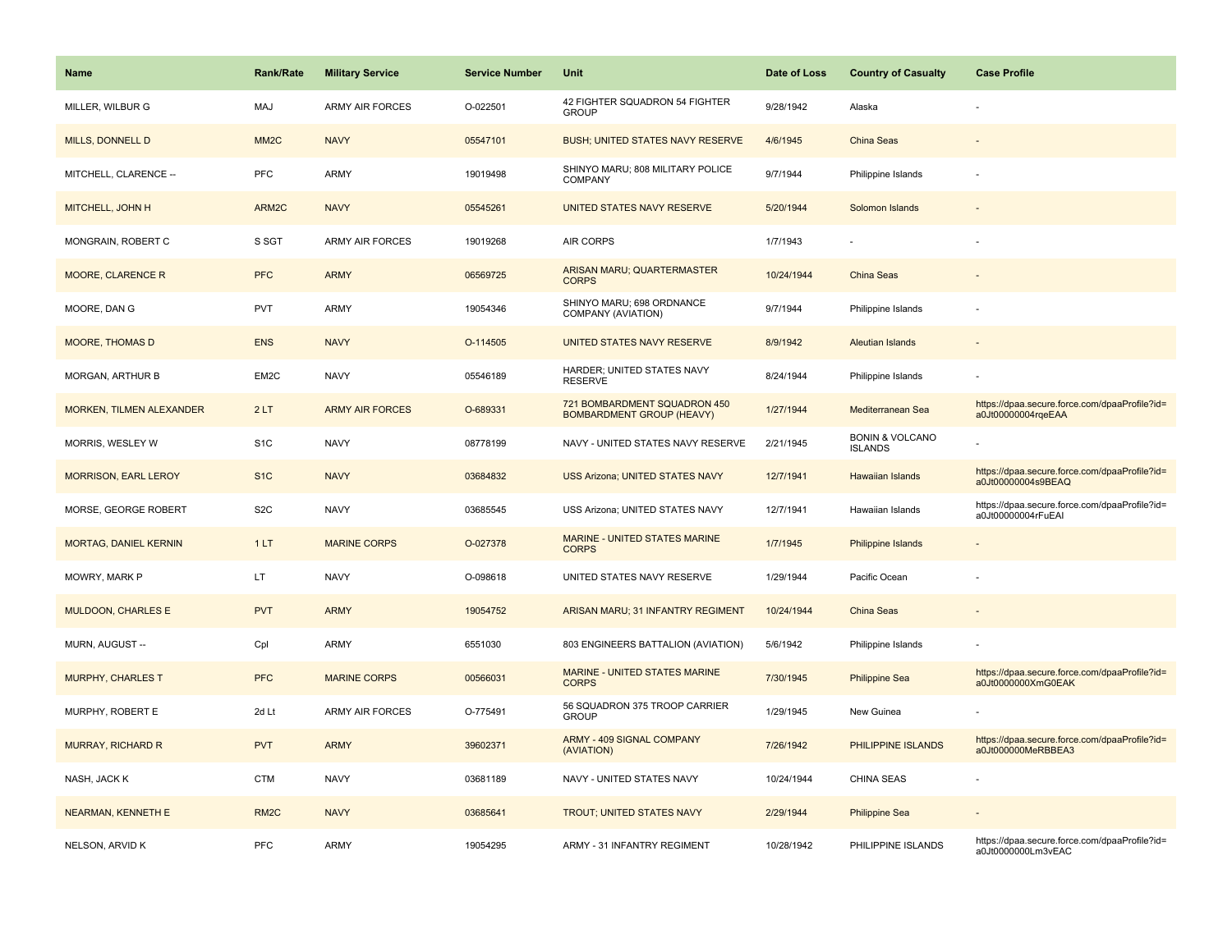| Name                        | <b>Rank/Rate</b>  | <b>Military Service</b> | <b>Service Number</b> | Unit                                                             | Date of Loss | <b>Country of Casualty</b>                   | <b>Case Profile</b>                                                 |
|-----------------------------|-------------------|-------------------------|-----------------------|------------------------------------------------------------------|--------------|----------------------------------------------|---------------------------------------------------------------------|
| MILLER, WILBUR G            | MAJ               | <b>ARMY AIR FORCES</b>  | O-022501              | 42 FIGHTER SQUADRON 54 FIGHTER<br><b>GROUP</b>                   | 9/28/1942    | Alaska                                       |                                                                     |
| MILLS, DONNELL D            | MM <sub>2</sub> C | <b>NAVY</b>             | 05547101              | <b>BUSH; UNITED STATES NAVY RESERVE</b>                          | 4/6/1945     | China Seas                                   |                                                                     |
| MITCHELL, CLARENCE --       | PFC               | <b>ARMY</b>             | 19019498              | SHINYO MARU; 808 MILITARY POLICE<br>COMPANY                      | 9/7/1944     | Philippine Islands                           |                                                                     |
| MITCHELL, JOHN H            | ARM2C             | <b>NAVY</b>             | 05545261              | UNITED STATES NAVY RESERVE                                       | 5/20/1944    | Solomon Islands                              |                                                                     |
| MONGRAIN, ROBERT C          | S SGT             | <b>ARMY AIR FORCES</b>  | 19019268              | AIR CORPS                                                        | 1/7/1943     |                                              |                                                                     |
| MOORE, CLARENCE R           | <b>PFC</b>        | <b>ARMY</b>             | 06569725              | <b>ARISAN MARU; QUARTERMASTER</b><br><b>CORPS</b>                | 10/24/1944   | China Seas                                   |                                                                     |
| MOORE, DAN G                | <b>PVT</b>        | <b>ARMY</b>             | 19054346              | SHINYO MARU; 698 ORDNANCE<br>COMPANY (AVIATION)                  | 9/7/1944     | Philippine Islands                           |                                                                     |
| <b>MOORE, THOMAS D</b>      | <b>ENS</b>        | <b>NAVY</b>             | O-114505              | UNITED STATES NAVY RESERVE                                       | 8/9/1942     | Aleutian Islands                             |                                                                     |
| MORGAN, ARTHUR B            | EM2C              | <b>NAVY</b>             | 05546189              | HARDER; UNITED STATES NAVY<br><b>RESERVE</b>                     | 8/24/1944    | Philippine Islands                           |                                                                     |
| MORKEN, TILMEN ALEXANDER    | 2LT               | <b>ARMY AIR FORCES</b>  | O-689331              | 721 BOMBARDMENT SQUADRON 450<br><b>BOMBARDMENT GROUP (HEAVY)</b> | 1/27/1944    | Mediterranean Sea                            | https://dpaa.secure.force.com/dpaaProfile?id=<br>a0Jt00000004rqeEAA |
| MORRIS, WESLEY W            | S <sub>1</sub> C  | <b>NAVY</b>             | 08778199              | NAVY - UNITED STATES NAVY RESERVE                                | 2/21/1945    | <b>BONIN &amp; VOLCANO</b><br><b>ISLANDS</b> |                                                                     |
| <b>MORRISON, EARL LEROY</b> | S <sub>1</sub> C  | <b>NAVY</b>             | 03684832              | <b>USS Arizona; UNITED STATES NAVY</b>                           | 12/7/1941    | <b>Hawaiian Islands</b>                      | https://dpaa.secure.force.com/dpaaProfile?id=<br>a0Jt00000004s9BEAQ |
| MORSE, GEORGE ROBERT        | S <sub>2</sub> C  | <b>NAVY</b>             | 03685545              | USS Arizona; UNITED STATES NAVY                                  | 12/7/1941    | Hawaiian Islands                             | https://dpaa.secure.force.com/dpaaProfile?id=<br>a0Jt00000004rFuEAI |
| MORTAG, DANIEL KERNIN       | 1LT               | <b>MARINE CORPS</b>     | O-027378              | MARINE - UNITED STATES MARINE<br><b>CORPS</b>                    | 1/7/1945     | Philippine Islands                           |                                                                     |
| MOWRY, MARK P               | LT.               | <b>NAVY</b>             | O-098618              | UNITED STATES NAVY RESERVE                                       | 1/29/1944    | Pacific Ocean                                |                                                                     |
| <b>MULDOON, CHARLES E</b>   | <b>PVT</b>        | <b>ARMY</b>             | 19054752              | ARISAN MARU; 31 INFANTRY REGIMENT                                | 10/24/1944   | China Seas                                   |                                                                     |
| MURN, AUGUST --             | Cpl               | <b>ARMY</b>             | 6551030               | 803 ENGINEERS BATTALION (AVIATION)                               | 5/6/1942     | Philippine Islands                           |                                                                     |
| MURPHY, CHARLES T           | <b>PFC</b>        | <b>MARINE CORPS</b>     | 00566031              | MARINE - UNITED STATES MARINE<br><b>CORPS</b>                    | 7/30/1945    | <b>Philippine Sea</b>                        | https://dpaa.secure.force.com/dpaaProfile?id=<br>a0Jt0000000XmG0EAK |
| MURPHY, ROBERT E            | 2d Lt             | <b>ARMY AIR FORCES</b>  | O-775491              | 56 SQUADRON 375 TROOP CARRIER<br><b>GROUP</b>                    | 1/29/1945    | New Guinea                                   |                                                                     |
| <b>MURRAY, RICHARD R</b>    | <b>PVT</b>        | <b>ARMY</b>             | 39602371              | ARMY - 409 SIGNAL COMPANY<br>(AVIATION)                          | 7/26/1942    | PHILIPPINE ISLANDS                           | https://dpaa.secure.force.com/dpaaProfile?id=<br>a0Jt000000MeRBBEA3 |
| NASH, JACK K                | <b>CTM</b>        | <b>NAVY</b>             | 03681189              | NAVY - UNITED STATES NAVY                                        | 10/24/1944   | <b>CHINA SEAS</b>                            |                                                                     |
| <b>NEARMAN, KENNETH E</b>   | RM <sub>2</sub> C | <b>NAVY</b>             | 03685641              | <b>TROUT; UNITED STATES NAVY</b>                                 | 2/29/1944    | <b>Philippine Sea</b>                        |                                                                     |
| NELSON, ARVID K             | <b>PFC</b>        | <b>ARMY</b>             | 19054295              | ARMY - 31 INFANTRY REGIMENT                                      | 10/28/1942   | PHILIPPINE ISLANDS                           | https://dpaa.secure.force.com/dpaaProfile?id=<br>a0Jt0000000Lm3vEAC |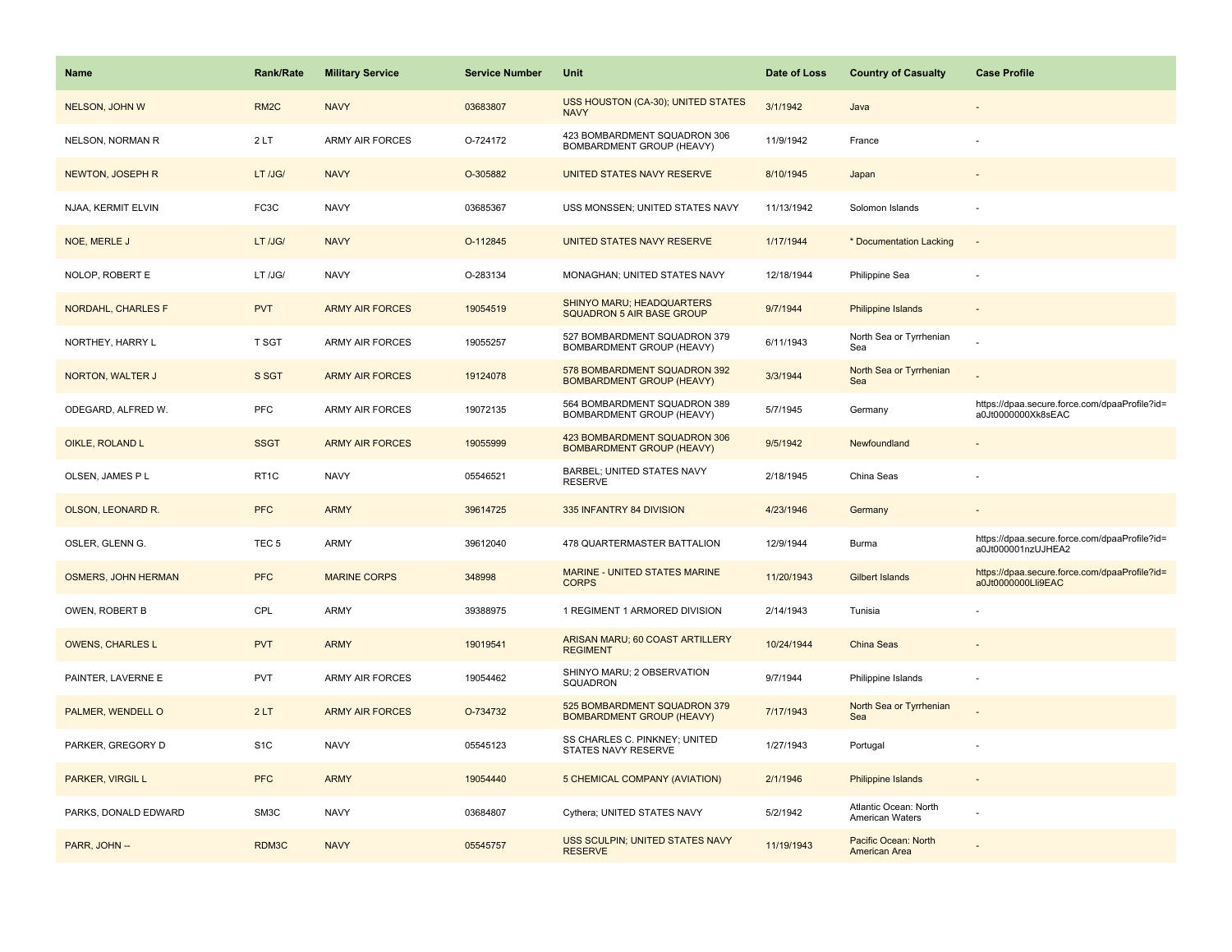| <b>Name</b>                | <b>Rank/Rate</b>  | <b>Military Service</b> | <b>Service Number</b> | Unit                                                             | Date of Loss | <b>Country of Casualty</b>               | <b>Case Profile</b>                                                 |
|----------------------------|-------------------|-------------------------|-----------------------|------------------------------------------------------------------|--------------|------------------------------------------|---------------------------------------------------------------------|
| NELSON, JOHN W             | RM <sub>2</sub> C | <b>NAVY</b>             | 03683807              | USS HOUSTON (CA-30); UNITED STATES<br><b>NAVY</b>                | 3/1/1942     | Java                                     |                                                                     |
| NELSON, NORMAN R           | 2LT               | <b>ARMY AIR FORCES</b>  | O-724172              | 423 BOMBARDMENT SQUADRON 306<br><b>BOMBARDMENT GROUP (HEAVY)</b> | 11/9/1942    | France                                   |                                                                     |
| NEWTON, JOSEPH R           | LT /JG/           | <b>NAVY</b>             | O-305882              | UNITED STATES NAVY RESERVE                                       | 8/10/1945    | Japan                                    |                                                                     |
| NJAA, KERMIT ELVIN         | FC3C              | <b>NAVY</b>             | 03685367              | USS MONSSEN; UNITED STATES NAVY                                  | 11/13/1942   | Solomon Islands                          |                                                                     |
| NOE, MERLE J               | LT /JG/           | <b>NAVY</b>             | O-112845              | UNITED STATES NAVY RESERVE                                       | 1/17/1944    | * Documentation Lacking                  | $\overline{\phantom{a}}$                                            |
| NOLOP, ROBERT E            | LT /JG/           | <b>NAVY</b>             | O-283134              | MONAGHAN; UNITED STATES NAVY                                     | 12/18/1944   | Philippine Sea                           |                                                                     |
| NORDAHL, CHARLES F         | <b>PVT</b>        | <b>ARMY AIR FORCES</b>  | 19054519              | SHINYO MARU; HEADQUARTERS<br>SQUADRON 5 AIR BASE GROUP           | 9/7/1944     | <b>Philippine Islands</b>                | $\overline{\phantom{a}}$                                            |
| NORTHEY, HARRY L           | T SGT             | <b>ARMY AIR FORCES</b>  | 19055257              | 527 BOMBARDMENT SQUADRON 379<br>BOMBARDMENT GROUP (HEAVY)        | 6/11/1943    | North Sea or Tyrrhenian<br>Sea           |                                                                     |
| NORTON, WALTER J           | S SGT             | <b>ARMY AIR FORCES</b>  | 19124078              | 578 BOMBARDMENT SQUADRON 392<br><b>BOMBARDMENT GROUP (HEAVY)</b> | 3/3/1944     | North Sea or Tyrrhenian<br>Sea           |                                                                     |
| ODEGARD, ALFRED W.         | <b>PFC</b>        | <b>ARMY AIR FORCES</b>  | 19072135              | 564 BOMBARDMENT SQUADRON 389<br>BOMBARDMENT GROUP (HEAVY)        | 5/7/1945     | Germany                                  | https://dpaa.secure.force.com/dpaaProfile?id=<br>a0Jt0000000Xk8sEAC |
| OIKLE, ROLAND L            | <b>SSGT</b>       | <b>ARMY AIR FORCES</b>  | 19055999              | 423 BOMBARDMENT SQUADRON 306<br><b>BOMBARDMENT GROUP (HEAVY)</b> | 9/5/1942     | Newfoundland                             |                                                                     |
| OLSEN, JAMES P L           | RT <sub>1</sub> C | <b>NAVY</b>             | 05546521              | BARBEL; UNITED STATES NAVY<br><b>RESERVE</b>                     | 2/18/1945    | China Seas                               |                                                                     |
| OLSON, LEONARD R.          | <b>PFC</b>        | <b>ARMY</b>             | 39614725              | 335 INFANTRY 84 DIVISION                                         | 4/23/1946    | Germany                                  |                                                                     |
| OSLER, GLENN G.            | TEC <sub>5</sub>  | <b>ARMY</b>             | 39612040              | 478 QUARTERMASTER BATTALION                                      | 12/9/1944    | Burma                                    | https://dpaa.secure.force.com/dpaaProfile?id=<br>a0Jt000001nzUJHEA2 |
| <b>OSMERS, JOHN HERMAN</b> | <b>PFC</b>        | <b>MARINE CORPS</b>     | 348998                | <b>MARINE - UNITED STATES MARINE</b><br><b>CORPS</b>             | 11/20/1943   | <b>Gilbert Islands</b>                   | https://dpaa.secure.force.com/dpaaProfile?id=<br>a0Jt0000000Lli9EAC |
| OWEN, ROBERT B             | CPL               | <b>ARMY</b>             | 39388975              | 1 REGIMENT 1 ARMORED DIVISION                                    | 2/14/1943    | Tunisia                                  |                                                                     |
| <b>OWENS, CHARLES L</b>    | <b>PVT</b>        | <b>ARMY</b>             | 19019541              | ARISAN MARU; 60 COAST ARTILLERY<br><b>REGIMENT</b>               | 10/24/1944   | China Seas                               |                                                                     |
| PAINTER, LAVERNE E         | <b>PVT</b>        | ARMY AIR FORCES         | 19054462              | SHINYO MARU; 2 OBSERVATION<br>SQUADRON                           | 9/7/1944     | Philippine Islands                       |                                                                     |
| PALMER, WENDELL O          | 2LT               | <b>ARMY AIR FORCES</b>  | O-734732              | 525 BOMBARDMENT SQUADRON 379<br><b>BOMBARDMENT GROUP (HEAVY)</b> | 7/17/1943    | North Sea or Tyrrhenian<br>Sea           |                                                                     |
| PARKER, GREGORY D          | S <sub>1</sub> C  | <b>NAVY</b>             | 05545123              | SS CHARLES C. PINKNEY; UNITED<br>STATES NAVY RESERVE             | 1/27/1943    | Portugal                                 |                                                                     |
| PARKER, VIRGIL L           | <b>PFC</b>        | <b>ARMY</b>             | 19054440              | 5 CHEMICAL COMPANY (AVIATION)                                    | 2/1/1946     | Philippine Islands                       | $\sim$                                                              |
| PARKS, DONALD EDWARD       | SM3C              | <b>NAVY</b>             | 03684807              | Cythera; UNITED STATES NAVY                                      | 5/2/1942     | Atlantic Ocean: North<br>American Waters |                                                                     |
| PARR, JOHN --              | RDM3C             | <b>NAVY</b>             | 05545757              | USS SCULPIN; UNITED STATES NAVY<br><b>RESERVE</b>                | 11/19/1943   | Pacific Ocean: North<br>American Area    |                                                                     |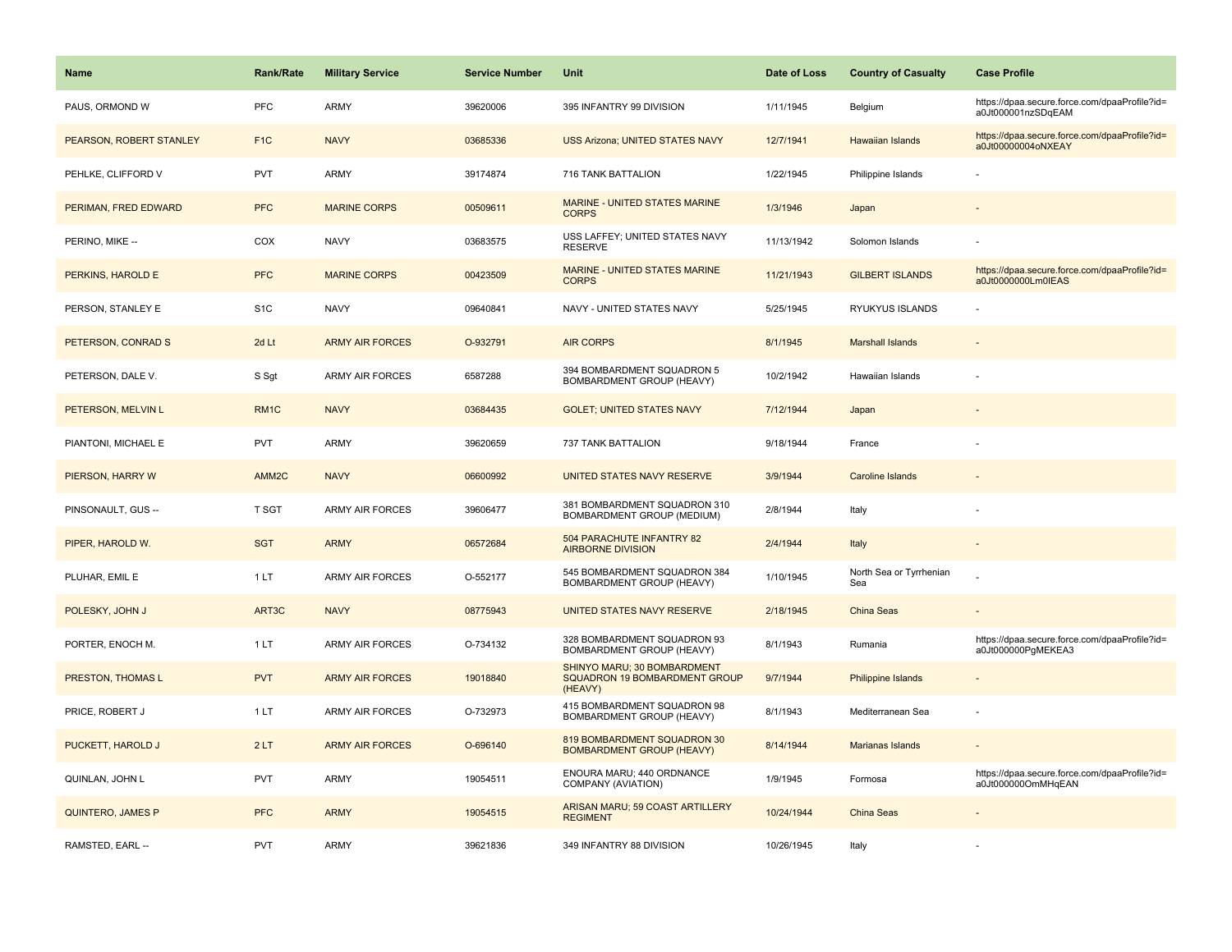| Name                     | Rank/Rate        | <b>Military Service</b> | <b>Service Number</b> | Unit                                                                    | Date of Loss | <b>Country of Casualty</b>     | <b>Case Profile</b>                                                 |
|--------------------------|------------------|-------------------------|-----------------------|-------------------------------------------------------------------------|--------------|--------------------------------|---------------------------------------------------------------------|
| PAUS, ORMOND W           | <b>PFC</b>       | <b>ARMY</b>             | 39620006              | 395 INFANTRY 99 DIVISION                                                | 1/11/1945    | Belgium                        | https://dpaa.secure.force.com/dpaaProfile?id=<br>a0Jt000001nzSDqEAM |
| PEARSON, ROBERT STANLEY  | F <sub>1C</sub>  | <b>NAVY</b>             | 03685336              | <b>USS Arizona; UNITED STATES NAVY</b>                                  | 12/7/1941    | Hawaiian Islands               | https://dpaa.secure.force.com/dpaaProfile?id=<br>a0Jt00000004oNXEAY |
| PEHLKE, CLIFFORD V       | PVT              | <b>ARMY</b>             | 39174874              | 716 TANK BATTALION                                                      | 1/22/1945    | Philippine Islands             |                                                                     |
| PERIMAN, FRED EDWARD     | <b>PFC</b>       | <b>MARINE CORPS</b>     | 00509611              | <b>MARINE - UNITED STATES MARINE</b><br><b>CORPS</b>                    | 1/3/1946     | Japan                          |                                                                     |
| PERINO, MIKE --          | COX              | <b>NAVY</b>             | 03683575              | USS LAFFEY; UNITED STATES NAVY<br><b>RESERVE</b>                        | 11/13/1942   | Solomon Islands                |                                                                     |
| PERKINS, HAROLD E        | <b>PFC</b>       | <b>MARINE CORPS</b>     | 00423509              | MARINE - UNITED STATES MARINE<br><b>CORPS</b>                           | 11/21/1943   | <b>GILBERT ISLANDS</b>         | https://dpaa.secure.force.com/dpaaProfile?id=<br>a0Jt0000000Lm0IEAS |
| PERSON, STANLEY E        | S <sub>1</sub> C | <b>NAVY</b>             | 09640841              | NAVY - UNITED STATES NAVY                                               | 5/25/1945    | RYUKYUS ISLANDS                |                                                                     |
| PETERSON, CONRAD S       | 2d Lt            | <b>ARMY AIR FORCES</b>  | O-932791              | <b>AIR CORPS</b>                                                        | 8/1/1945     | <b>Marshall Islands</b>        |                                                                     |
| PETERSON, DALE V.        | S Sgt            | <b>ARMY AIR FORCES</b>  | 6587288               | 394 BOMBARDMENT SQUADRON 5<br>BOMBARDMENT GROUP (HEAVY)                 | 10/2/1942    | Hawaiian Islands               |                                                                     |
| PETERSON, MELVIN L       | RM <sub>1C</sub> | <b>NAVY</b>             | 03684435              | <b>GOLET: UNITED STATES NAVY</b>                                        | 7/12/1944    | Japan                          |                                                                     |
| PIANTONI, MICHAEL E      | <b>PVT</b>       | <b>ARMY</b>             | 39620659              | 737 TANK BATTALION                                                      | 9/18/1944    | France                         |                                                                     |
| PIERSON, HARRY W         | AMM2C            | <b>NAVY</b>             | 06600992              | UNITED STATES NAVY RESERVE                                              | 3/9/1944     | <b>Caroline Islands</b>        |                                                                     |
| PINSONAULT, GUS --       | T SGT            | <b>ARMY AIR FORCES</b>  | 39606477              | 381 BOMBARDMENT SQUADRON 310<br><b>BOMBARDMENT GROUP (MEDIUM)</b>       | 2/8/1944     | Italy                          |                                                                     |
| PIPER, HAROLD W.         | <b>SGT</b>       | <b>ARMY</b>             | 06572684              | 504 PARACHUTE INFANTRY 82<br><b>AIRBORNE DIVISION</b>                   | 2/4/1944     | Italy                          |                                                                     |
| PLUHAR, EMIL E           | 1LT              | <b>ARMY AIR FORCES</b>  | O-552177              | 545 BOMBARDMENT SQUADRON 384<br>BOMBARDMENT GROUP (HEAVY)               | 1/10/1945    | North Sea or Tyrrhenian<br>Sea |                                                                     |
| POLESKY, JOHN J          | ART3C            | <b>NAVY</b>             | 08775943              | UNITED STATES NAVY RESERVE                                              | 2/18/1945    | China Seas                     |                                                                     |
| PORTER, ENOCH M.         | 1LT              | ARMY AIR FORCES         | O-734132              | 328 BOMBARDMENT SQUADRON 93<br>BOMBARDMENT GROUP (HEAVY)                | 8/1/1943     | Rumania                        | https://dpaa.secure.force.com/dpaaProfile?id=<br>a0Jt000000PgMEKEA3 |
| PRESTON, THOMAS L        | <b>PVT</b>       | <b>ARMY AIR FORCES</b>  | 19018840              | SHINYO MARU; 30 BOMBARDMENT<br>SQUADRON 19 BOMBARDMENT GROUP<br>(HEAVY) | 9/7/1944     | Philippine Islands             |                                                                     |
| PRICE, ROBERT J          | 1LT              | ARMY AIR FORCES         | O-732973              | 415 BOMBARDMENT SQUADRON 98<br><b>BOMBARDMENT GROUP (HEAVY)</b>         | 8/1/1943     | Mediterranean Sea              | $\overline{\phantom{a}}$                                            |
| PUCKETT, HAROLD J        | 2LT              | <b>ARMY AIR FORCES</b>  | O-696140              | 819 BOMBARDMENT SQUADRON 30<br><b>BOMBARDMENT GROUP (HEAVY)</b>         | 8/14/1944    | Marianas Islands               |                                                                     |
| QUINLAN, JOHN L          | <b>PVT</b>       | <b>ARMY</b>             | 19054511              | ENOURA MARU; 440 ORDNANCE<br>COMPANY (AVIATION)                         | 1/9/1945     | Formosa                        | https://dpaa.secure.force.com/dpaaProfile?id=<br>a0Jt000000OmMHqEAN |
| <b>QUINTERO, JAMES P</b> | <b>PFC</b>       | <b>ARMY</b>             | 19054515              | ARISAN MARU; 59 COAST ARTILLERY<br><b>REGIMENT</b>                      | 10/24/1944   | <b>China Seas</b>              |                                                                     |
| RAMSTED, EARL --         | <b>PVT</b>       | <b>ARMY</b>             | 39621836              | 349 INFANTRY 88 DIVISION                                                | 10/26/1945   | Italy                          |                                                                     |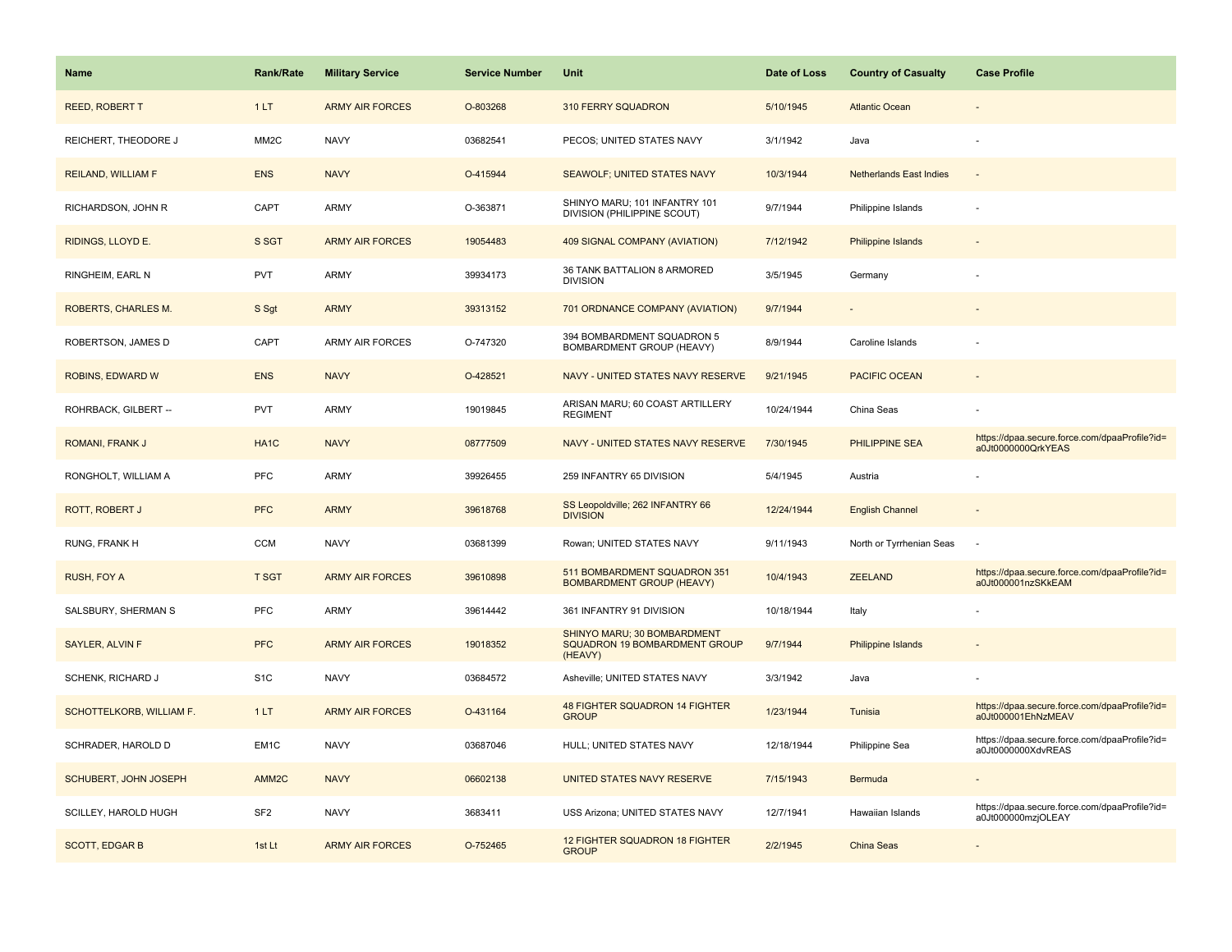| Name                     | <b>Rank/Rate</b>  | <b>Military Service</b> | <b>Service Number</b> | <b>Unit</b>                                                             | Date of Loss | <b>Country of Casualty</b>     | <b>Case Profile</b>                                                 |
|--------------------------|-------------------|-------------------------|-----------------------|-------------------------------------------------------------------------|--------------|--------------------------------|---------------------------------------------------------------------|
| <b>REED, ROBERT T</b>    | 1LT               | <b>ARMY AIR FORCES</b>  | O-803268              | 310 FERRY SQUADRON                                                      | 5/10/1945    | <b>Atlantic Ocean</b>          |                                                                     |
| REICHERT, THEODORE J     | MM <sub>2</sub> C | <b>NAVY</b>             | 03682541              | PECOS; UNITED STATES NAVY                                               | 3/1/1942     | Java                           |                                                                     |
| REILAND, WILLIAM F       | <b>ENS</b>        | <b>NAVY</b>             | O-415944              | <b>SEAWOLF; UNITED STATES NAVY</b>                                      | 10/3/1944    | <b>Netherlands East Indies</b> |                                                                     |
| RICHARDSON, JOHN R       | CAPT              | ARMY                    | O-363871              | SHINYO MARU; 101 INFANTRY 101<br>DIVISION (PHILIPPINE SCOUT)            | 9/7/1944     | Philippine Islands             |                                                                     |
| RIDINGS, LLOYD E.        | S SGT             | <b>ARMY AIR FORCES</b>  | 19054483              | 409 SIGNAL COMPANY (AVIATION)                                           | 7/12/1942    | Philippine Islands             |                                                                     |
| RINGHEIM, EARL N         | <b>PVT</b>        | ARMY                    | 39934173              | 36 TANK BATTALION 8 ARMORED<br><b>DIVISION</b>                          | 3/5/1945     | Germany                        |                                                                     |
| ROBERTS, CHARLES M.      | S Sgt             | <b>ARMY</b>             | 39313152              | 701 ORDNANCE COMPANY (AVIATION)                                         | 9/7/1944     | $\overline{\phantom{a}}$       |                                                                     |
| ROBERTSON, JAMES D       | CAPT              | <b>ARMY AIR FORCES</b>  | O-747320              | 394 BOMBARDMENT SQUADRON 5<br>BOMBARDMENT GROUP (HEAVY)                 | 8/9/1944     | Caroline Islands               |                                                                     |
| ROBINS, EDWARD W         | <b>ENS</b>        | <b>NAVY</b>             | O-428521              | NAVY - UNITED STATES NAVY RESERVE                                       | 9/21/1945    | <b>PACIFIC OCEAN</b>           |                                                                     |
| ROHRBACK, GILBERT --     | <b>PVT</b>        | ARMY                    | 19019845              | ARISAN MARU; 60 COAST ARTILLERY<br><b>REGIMENT</b>                      | 10/24/1944   | China Seas                     |                                                                     |
| ROMANI, FRANK J          | HA <sub>1</sub> C | <b>NAVY</b>             | 08777509              | NAVY - UNITED STATES NAVY RESERVE                                       | 7/30/1945    | PHILIPPINE SEA                 | https://dpaa.secure.force.com/dpaaProfile?id=<br>a0Jt0000000QrkYEAS |
| RONGHOLT, WILLIAM A      | <b>PFC</b>        | ARMY                    | 39926455              | 259 INFANTRY 65 DIVISION                                                | 5/4/1945     | Austria                        |                                                                     |
| ROTT, ROBERT J           | <b>PFC</b>        | <b>ARMY</b>             | 39618768              | SS Leopoldville; 262 INFANTRY 66<br><b>DIVISION</b>                     | 12/24/1944   | <b>English Channel</b>         |                                                                     |
| RUNG, FRANK H            | <b>CCM</b>        | <b>NAVY</b>             | 03681399              | Rowan; UNITED STATES NAVY                                               | 9/11/1943    | North or Tyrrhenian Seas       | $\sim$                                                              |
| RUSH, FOY A              | <b>T SGT</b>      | <b>ARMY AIR FORCES</b>  | 39610898              | 511 BOMBARDMENT SQUADRON 351<br><b>BOMBARDMENT GROUP (HEAVY)</b>        | 10/4/1943    | <b>ZEELAND</b>                 | https://dpaa.secure.force.com/dpaaProfile?id=<br>a0Jt000001nzSKkEAM |
| SALSBURY, SHERMAN S      | <b>PFC</b>        | <b>ARMY</b>             | 39614442              | 361 INFANTRY 91 DIVISION                                                | 10/18/1944   | Italy                          |                                                                     |
| SAYLER, ALVIN F          | <b>PFC</b>        | <b>ARMY AIR FORCES</b>  | 19018352              | SHINYO MARU; 30 BOMBARDMENT<br>SQUADRON 19 BOMBARDMENT GROUP<br>(HEAVY) | 9/7/1944     | Philippine Islands             |                                                                     |
| SCHENK, RICHARD J        | S <sub>1</sub> C  | <b>NAVY</b>             | 03684572              | Asheville; UNITED STATES NAVY                                           | 3/3/1942     | Java                           |                                                                     |
| SCHOTTELKORB, WILLIAM F. | 1LT               | <b>ARMY AIR FORCES</b>  | O-431164              | 48 FIGHTER SQUADRON 14 FIGHTER<br><b>GROUP</b>                          | 1/23/1944    | Tunisia                        | https://dpaa.secure.force.com/dpaaProfile?id=<br>a0Jt000001EhNzMEAV |
| SCHRADER, HAROLD D       | EM <sub>1</sub> C | <b>NAVY</b>             | 03687046              | HULL; UNITED STATES NAVY                                                | 12/18/1944   | Philippine Sea                 | https://dpaa.secure.force.com/dpaaProfile?id=<br>a0Jt0000000XdvREAS |
| SCHUBERT, JOHN JOSEPH    | AMM <sub>2C</sub> | <b>NAVY</b>             | 06602138              | UNITED STATES NAVY RESERVE                                              | 7/15/1943    | Bermuda                        |                                                                     |
| SCILLEY, HAROLD HUGH     | SF <sub>2</sub>   | <b>NAVY</b>             | 3683411               | USS Arizona; UNITED STATES NAVY                                         | 12/7/1941    | Hawaiian Islands               | https://dpaa.secure.force.com/dpaaProfile?id=<br>a0Jt000000mzjOLEAY |
| <b>SCOTT, EDGAR B</b>    | 1st Lt            | <b>ARMY AIR FORCES</b>  | O-752465              | 12 FIGHTER SQUADRON 18 FIGHTER<br><b>GROUP</b>                          | 2/2/1945     | China Seas                     |                                                                     |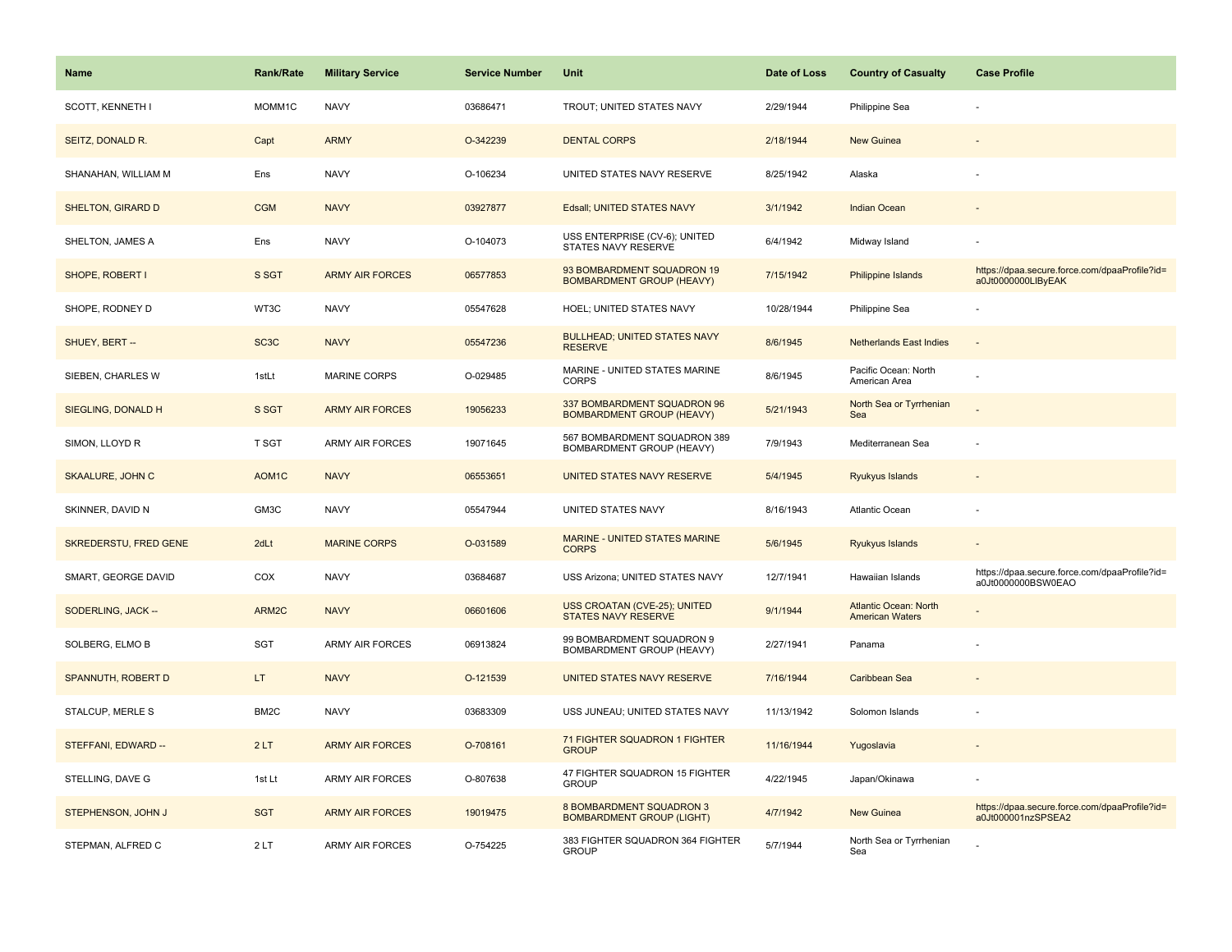| Name                     | <b>Rank/Rate</b>   | <b>Military Service</b> | <b>Service Number</b> | Unit                                                            | Date of Loss | <b>Country of Casualty</b>                             | <b>Case Profile</b>                                                 |
|--------------------------|--------------------|-------------------------|-----------------------|-----------------------------------------------------------------|--------------|--------------------------------------------------------|---------------------------------------------------------------------|
| <b>SCOTT, KENNETH I</b>  | MOMM1C             | <b>NAVY</b>             | 03686471              | TROUT; UNITED STATES NAVY                                       | 2/29/1944    | Philippine Sea                                         |                                                                     |
| SEITZ, DONALD R.         | Capt               | <b>ARMY</b>             | O-342239              | <b>DENTAL CORPS</b>                                             | 2/18/1944    | <b>New Guinea</b>                                      |                                                                     |
| SHANAHAN, WILLIAM M      | Ens                | <b>NAVY</b>             | O-106234              | UNITED STATES NAVY RESERVE                                      | 8/25/1942    | Alaska                                                 |                                                                     |
| <b>SHELTON, GIRARD D</b> | <b>CGM</b>         | <b>NAVY</b>             | 03927877              | Edsall; UNITED STATES NAVY                                      | 3/1/1942     | <b>Indian Ocean</b>                                    |                                                                     |
| SHELTON, JAMES A         | Ens                | <b>NAVY</b>             | O-104073              | USS ENTERPRISE (CV-6); UNITED<br><b>STATES NAVY RESERVE</b>     | 6/4/1942     | Midway Island                                          |                                                                     |
| SHOPE, ROBERT I          | S SGT              | <b>ARMY AIR FORCES</b>  | 06577853              | 93 BOMBARDMENT SQUADRON 19<br><b>BOMBARDMENT GROUP (HEAVY)</b>  | 7/15/1942    | Philippine Islands                                     | https://dpaa.secure.force.com/dpaaProfile?id=<br>a0Jt0000000LIByEAK |
| SHOPE, RODNEY D          | WT3C               | <b>NAVY</b>             | 05547628              | HOEL; UNITED STATES NAVY                                        | 10/28/1944   | Philippine Sea                                         |                                                                     |
| SHUEY, BERT --           | SC <sub>3</sub> C  | <b>NAVY</b>             | 05547236              | <b>BULLHEAD; UNITED STATES NAVY</b><br><b>RESERVE</b>           | 8/6/1945     | <b>Netherlands East Indies</b>                         | $\overline{\phantom{a}}$                                            |
| SIEBEN, CHARLES W        | 1stLt              | MARINE CORPS            | O-029485              | MARINE - UNITED STATES MARINE<br><b>CORPS</b>                   | 8/6/1945     | Pacific Ocean: North<br>American Area                  |                                                                     |
| SIEGLING, DONALD H       | S SGT              | <b>ARMY AIR FORCES</b>  | 19056233              | 337 BOMBARDMENT SQUADRON 96<br><b>BOMBARDMENT GROUP (HEAVY)</b> | 5/21/1943    | North Sea or Tyrrhenian<br>Sea                         |                                                                     |
| SIMON, LLOYD R           | <b>T SGT</b>       | <b>ARMY AIR FORCES</b>  | 19071645              | 567 BOMBARDMENT SQUADRON 389<br>BOMBARDMENT GROUP (HEAVY)       | 7/9/1943     | Mediterranean Sea                                      |                                                                     |
| SKAALURE, JOHN C         | AOM <sub>1</sub> C | <b>NAVY</b>             | 06553651              | UNITED STATES NAVY RESERVE                                      | 5/4/1945     | Ryukyus Islands                                        |                                                                     |
| SKINNER, DAVID N         | GM3C               | <b>NAVY</b>             | 05547944              | UNITED STATES NAVY                                              | 8/16/1943    | <b>Atlantic Ocean</b>                                  |                                                                     |
| SKREDERSTU, FRED GENE    | 2dLt               | <b>MARINE CORPS</b>     | O-031589              | MARINE - UNITED STATES MARINE<br><b>CORPS</b>                   | 5/6/1945     | Ryukyus Islands                                        | $\sim$                                                              |
| SMART, GEORGE DAVID      | COX                | <b>NAVY</b>             | 03684687              | USS Arizona; UNITED STATES NAVY                                 | 12/7/1941    | Hawaiian Islands                                       | https://dpaa.secure.force.com/dpaaProfile?id=<br>a0Jt0000000BSW0EAO |
| SODERLING, JACK --       | ARM2C              | <b>NAVY</b>             | 06601606              | USS CROATAN (CVE-25); UNITED<br><b>STATES NAVY RESERVE</b>      | 9/1/1944     | <b>Atlantic Ocean: North</b><br><b>American Waters</b> |                                                                     |
| SOLBERG, ELMO B          | <b>SGT</b>         | <b>ARMY AIR FORCES</b>  | 06913824              | 99 BOMBARDMENT SQUADRON 9<br>BOMBARDMENT GROUP (HEAVY)          | 2/27/1941    | Panama                                                 |                                                                     |
| SPANNUTH, ROBERT D       | LT.                | <b>NAVY</b>             | O-121539              | UNITED STATES NAVY RESERVE                                      | 7/16/1944    | Caribbean Sea                                          |                                                                     |
| <b>STALCUP, MERLE S</b>  | BM <sub>2</sub> C  | <b>NAVY</b>             | 03683309              | USS JUNEAU; UNITED STATES NAVY                                  | 11/13/1942   | Solomon Islands                                        |                                                                     |
| STEFFANI, EDWARD --      | 2LT                | <b>ARMY AIR FORCES</b>  | O-708161              | 71 FIGHTER SQUADRON 1 FIGHTER<br><b>GROUP</b>                   | 11/16/1944   | Yugoslavia                                             |                                                                     |
| STELLING, DAVE G         | 1st Lt             | <b>ARMY AIR FORCES</b>  | O-807638              | 47 FIGHTER SQUADRON 15 FIGHTER<br><b>GROUP</b>                  | 4/22/1945    | Japan/Okinawa                                          |                                                                     |
| STEPHENSON, JOHN J       | <b>SGT</b>         | <b>ARMY AIR FORCES</b>  | 19019475              | 8 BOMBARDMENT SQUADRON 3<br><b>BOMBARDMENT GROUP (LIGHT)</b>    | 4/7/1942     | New Guinea                                             | https://dpaa.secure.force.com/dpaaProfile?id=<br>a0Jt000001nzSPSEA2 |
| STEPMAN, ALFRED C        | 2LT                | <b>ARMY AIR FORCES</b>  | O-754225              | 383 FIGHTER SQUADRON 364 FIGHTER<br><b>GROUP</b>                | 5/7/1944     | North Sea or Tyrrhenian<br>Sea                         |                                                                     |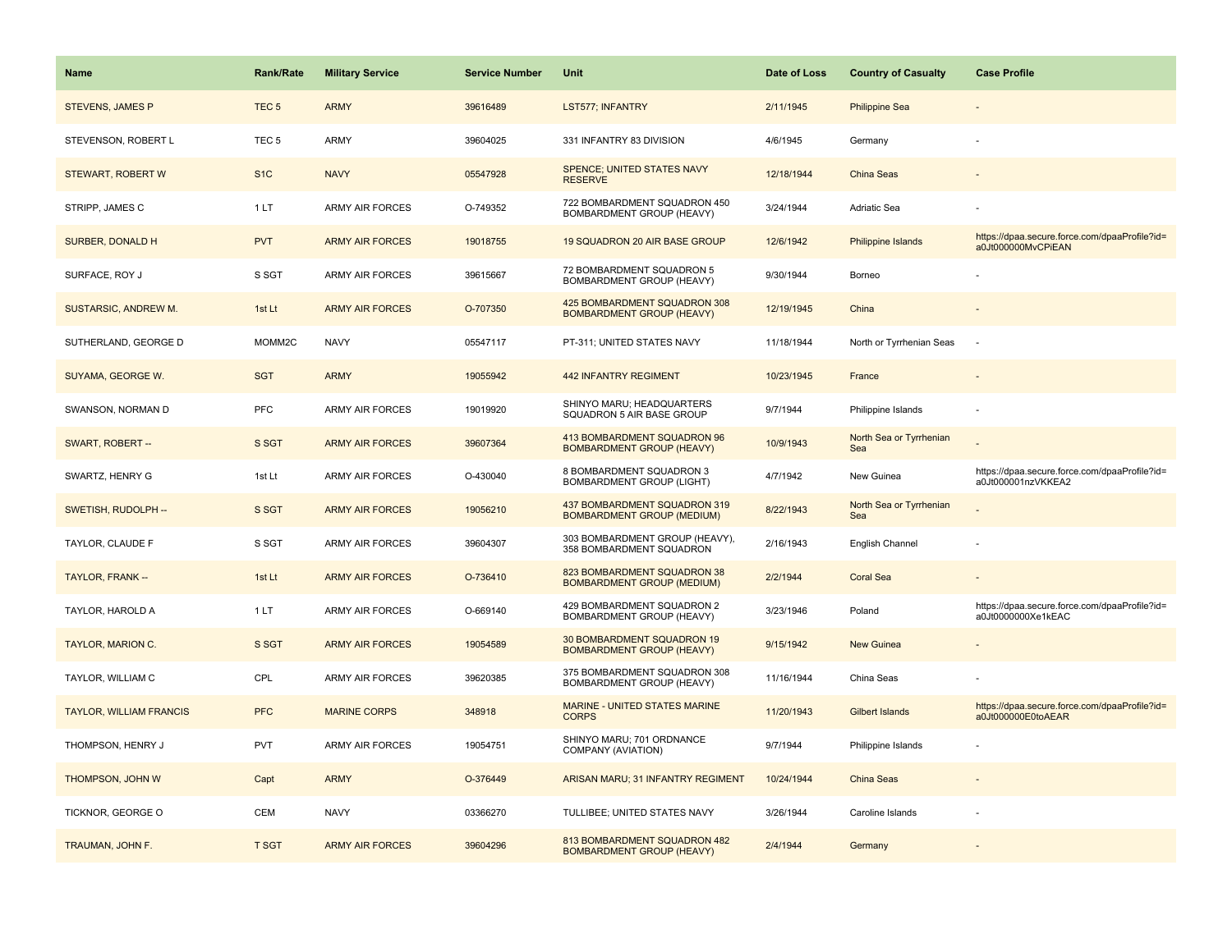| <b>Name</b>                    | <b>Rank/Rate</b> | <b>Military Service</b> | <b>Service Number</b> | Unit                                                              | Date of Loss | <b>Country of Casualty</b>     | <b>Case Profile</b>                                                 |
|--------------------------------|------------------|-------------------------|-----------------------|-------------------------------------------------------------------|--------------|--------------------------------|---------------------------------------------------------------------|
| <b>STEVENS, JAMES P</b>        | TEC <sub>5</sub> | <b>ARMY</b>             | 39616489              | <b>LST577; INFANTRY</b>                                           | 2/11/1945    | <b>Philippine Sea</b>          |                                                                     |
| STEVENSON, ROBERT L            | TEC <sub>5</sub> | ARMY                    | 39604025              | 331 INFANTRY 83 DIVISION                                          | 4/6/1945     | Germany                        |                                                                     |
| STEWART, ROBERT W              | S <sub>1</sub> C | <b>NAVY</b>             | 05547928              | <b>SPENCE: UNITED STATES NAVY</b><br><b>RESERVE</b>               | 12/18/1944   | China Seas                     |                                                                     |
| STRIPP, JAMES C                | 1 LT             | <b>ARMY AIR FORCES</b>  | O-749352              | 722 BOMBARDMENT SQUADRON 450<br>BOMBARDMENT GROUP (HEAVY)         | 3/24/1944    | Adriatic Sea                   |                                                                     |
| SURBER, DONALD H               | <b>PVT</b>       | <b>ARMY AIR FORCES</b>  | 19018755              | 19 SQUADRON 20 AIR BASE GROUP                                     | 12/6/1942    | Philippine Islands             | https://dpaa.secure.force.com/dpaaProfile?id=<br>a0Jt000000MvCPiEAN |
| SURFACE, ROY J                 | S SGT            | <b>ARMY AIR FORCES</b>  | 39615667              | 72 BOMBARDMENT SQUADRON 5<br>BOMBARDMENT GROUP (HEAVY)            | 9/30/1944    | Borneo                         |                                                                     |
| SUSTARSIC, ANDREW M.           | 1st Lt           | <b>ARMY AIR FORCES</b>  | O-707350              | 425 BOMBARDMENT SQUADRON 308<br><b>BOMBARDMENT GROUP (HEAVY)</b>  | 12/19/1945   | China                          |                                                                     |
| SUTHERLAND, GEORGE D           | MOMM2C           | <b>NAVY</b>             | 05547117              | PT-311; UNITED STATES NAVY                                        | 11/18/1944   | North or Tyrrhenian Seas       | $\sim$                                                              |
| SUYAMA, GEORGE W.              | <b>SGT</b>       | <b>ARMY</b>             | 19055942              | <b>442 INFANTRY REGIMENT</b>                                      | 10/23/1945   | France                         |                                                                     |
| SWANSON, NORMAN D              | <b>PFC</b>       | <b>ARMY AIR FORCES</b>  | 19019920              | SHINYO MARU; HEADQUARTERS<br>SQUADRON 5 AIR BASE GROUP            | 9/7/1944     | Philippine Islands             |                                                                     |
| SWART, ROBERT --               | S SGT            | <b>ARMY AIR FORCES</b>  | 39607364              | 413 BOMBARDMENT SQUADRON 96<br><b>BOMBARDMENT GROUP (HEAVY)</b>   | 10/9/1943    | North Sea or Tyrrhenian<br>Sea |                                                                     |
| SWARTZ, HENRY G                | 1st Lt           | ARMY AIR FORCES         | O-430040              | 8 BOMBARDMENT SQUADRON 3<br><b>BOMBARDMENT GROUP (LIGHT)</b>      | 4/7/1942     | New Guinea                     | https://dpaa.secure.force.com/dpaaProfile?id=<br>a0Jt000001nzVKKEA2 |
| SWETISH, RUDOLPH --            | S SGT            | <b>ARMY AIR FORCES</b>  | 19056210              | 437 BOMBARDMENT SQUADRON 319<br><b>BOMBARDMENT GROUP (MEDIUM)</b> | 8/22/1943    | North Sea or Tyrrhenian<br>Sea |                                                                     |
| TAYLOR, CLAUDE F               | S SGT            | ARMY AIR FORCES         | 39604307              | 303 BOMBARDMENT GROUP (HEAVY),<br>358 BOMBARDMENT SQUADRON        | 2/16/1943    | English Channel                |                                                                     |
| TAYLOR, FRANK --               | 1st Lt           | <b>ARMY AIR FORCES</b>  | O-736410              | 823 BOMBARDMENT SQUADRON 38<br><b>BOMBARDMENT GROUP (MEDIUM)</b>  | 2/2/1944     | <b>Coral Sea</b>               |                                                                     |
| TAYLOR, HAROLD A               | 1LT              | ARMY AIR FORCES         | O-669140              | 429 BOMBARDMENT SQUADRON 2<br>BOMBARDMENT GROUP (HEAVY)           | 3/23/1946    | Poland                         | https://dpaa.secure.force.com/dpaaProfile?id=<br>a0Jt0000000Xe1kEAC |
| <b>TAYLOR, MARION C.</b>       | S SGT            | <b>ARMY AIR FORCES</b>  | 19054589              | 30 BOMBARDMENT SQUADRON 19<br><b>BOMBARDMENT GROUP (HEAVY)</b>    | 9/15/1942    | <b>New Guinea</b>              |                                                                     |
| TAYLOR, WILLIAM C              | CPL              | ARMY AIR FORCES         | 39620385              | 375 BOMBARDMENT SQUADRON 308<br>BOMBARDMENT GROUP (HEAVY)         | 11/16/1944   | China Seas                     |                                                                     |
| <b>TAYLOR, WILLIAM FRANCIS</b> | <b>PFC</b>       | <b>MARINE CORPS</b>     | 348918                | MARINE - UNITED STATES MARINE<br><b>CORPS</b>                     | 11/20/1943   | <b>Gilbert Islands</b>         | https://dpaa.secure.force.com/dpaaProfile?id=<br>a0Jt000000E0toAEAR |
| THOMPSON, HENRY J              | <b>PVT</b>       | ARMY AIR FORCES         | 19054751              | SHINYO MARU; 701 ORDNANCE<br>COMPANY (AVIATION)                   | 9/7/1944     | Philippine Islands             |                                                                     |
| THOMPSON, JOHN W               | Capt             | <b>ARMY</b>             | O-376449              | ARISAN MARU; 31 INFANTRY REGIMENT                                 | 10/24/1944   | <b>China Seas</b>              |                                                                     |
| TICKNOR, GEORGE O              | <b>CEM</b>       | <b>NAVY</b>             | 03366270              | TULLIBEE; UNITED STATES NAVY                                      | 3/26/1944    | Caroline Islands               |                                                                     |
| TRAUMAN, JOHN F.               | <b>T SGT</b>     | <b>ARMY AIR FORCES</b>  | 39604296              | 813 BOMBARDMENT SQUADRON 482<br><b>BOMBARDMENT GROUP (HEAVY)</b>  | 2/4/1944     | Germany                        |                                                                     |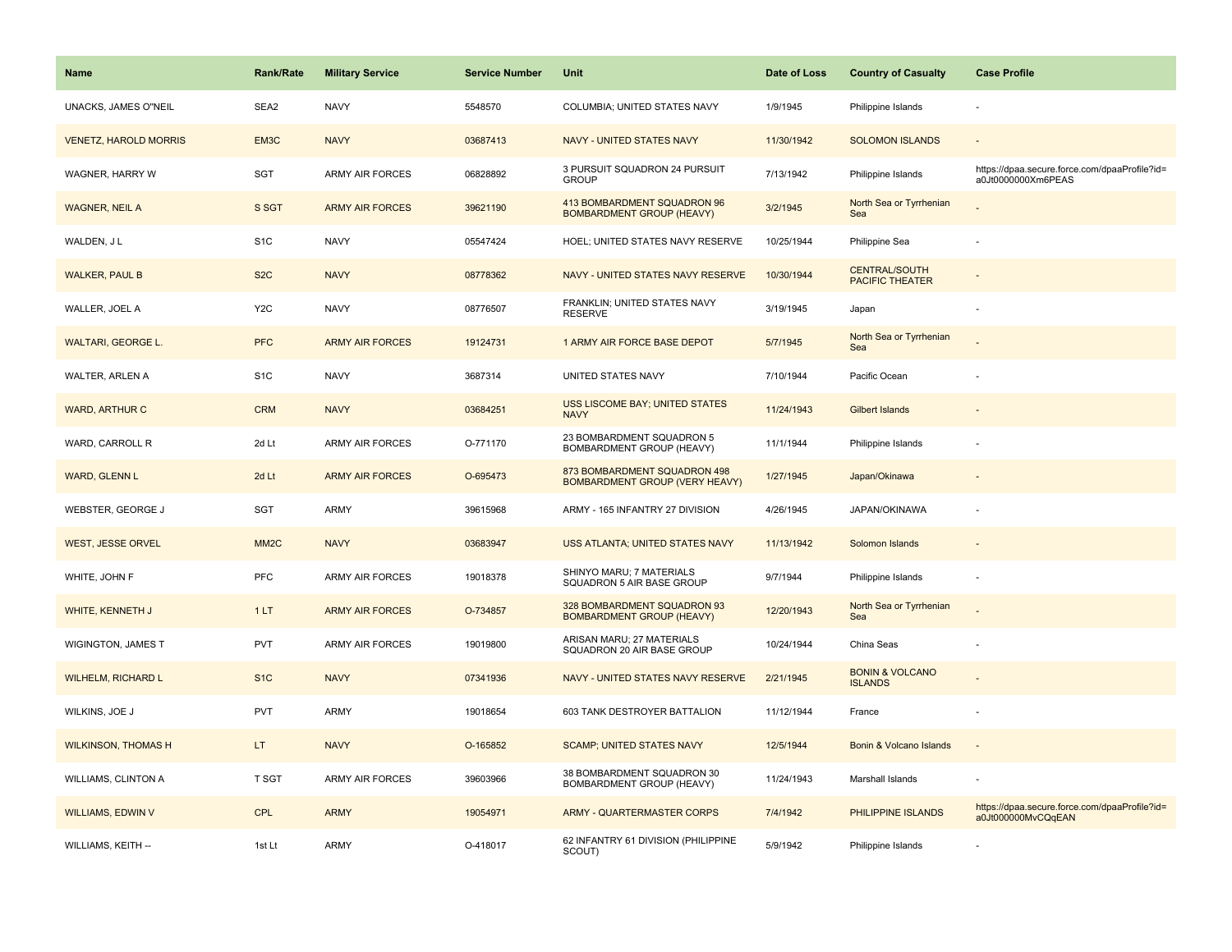| Name                         | Rank/Rate         | <b>Military Service</b> | <b>Service Number</b> | Unit                                                            | Date of Loss | <b>Country of Casualty</b>                     | <b>Case Profile</b>                                                 |
|------------------------------|-------------------|-------------------------|-----------------------|-----------------------------------------------------------------|--------------|------------------------------------------------|---------------------------------------------------------------------|
| UNACKS, JAMES O"NEIL         | SEA2              | <b>NAVY</b>             | 5548570               | COLUMBIA; UNITED STATES NAVY                                    | 1/9/1945     | Philippine Islands                             |                                                                     |
| <b>VENETZ, HAROLD MORRIS</b> | EM3C              | <b>NAVY</b>             | 03687413              | NAVY - UNITED STATES NAVY                                       | 11/30/1942   | <b>SOLOMON ISLANDS</b>                         |                                                                     |
| WAGNER, HARRY W              | SGT               | ARMY AIR FORCES         | 06828892              | 3 PURSUIT SQUADRON 24 PURSUIT<br><b>GROUP</b>                   | 7/13/1942    | Philippine Islands                             | https://dpaa.secure.force.com/dpaaProfile?id=<br>a0Jt0000000Xm6PEAS |
| <b>WAGNER, NEIL A</b>        | S SGT             | <b>ARMY AIR FORCES</b>  | 39621190              | 413 BOMBARDMENT SQUADRON 96<br><b>BOMBARDMENT GROUP (HEAVY)</b> | 3/2/1945     | North Sea or Tyrrhenian<br>Sea                 |                                                                     |
| WALDEN, J L                  | S <sub>1</sub> C  | <b>NAVY</b>             | 05547424              | HOEL; UNITED STATES NAVY RESERVE                                | 10/25/1944   | Philippine Sea                                 |                                                                     |
| <b>WALKER, PAUL B</b>        | S <sub>2</sub> C  | <b>NAVY</b>             | 08778362              | NAVY - UNITED STATES NAVY RESERVE                               | 10/30/1944   | <b>CENTRAL/SOUTH</b><br><b>PACIFIC THEATER</b> |                                                                     |
| WALLER, JOEL A               | Y <sub>2</sub> C  | <b>NAVY</b>             | 08776507              | FRANKLIN; UNITED STATES NAVY<br><b>RESERVE</b>                  | 3/19/1945    | Japan                                          |                                                                     |
| WALTARI, GEORGE L.           | <b>PFC</b>        | <b>ARMY AIR FORCES</b>  | 19124731              | 1 ARMY AIR FORCE BASE DEPOT                                     | 5/7/1945     | North Sea or Tyrrhenian<br>Sea                 |                                                                     |
| WALTER, ARLEN A              | S <sub>1</sub> C  | <b>NAVY</b>             | 3687314               | UNITED STATES NAVY                                              | 7/10/1944    | Pacific Ocean                                  |                                                                     |
| <b>WARD, ARTHUR C</b>        | <b>CRM</b>        | <b>NAVY</b>             | 03684251              | <b>USS LISCOME BAY; UNITED STATES</b><br><b>NAVY</b>            | 11/24/1943   | Gilbert Islands                                |                                                                     |
| WARD, CARROLL R              | 2d Lt             | <b>ARMY AIR FORCES</b>  | O-771170              | 23 BOMBARDMENT SQUADRON 5<br>BOMBARDMENT GROUP (HEAVY)          | 11/1/1944    | Philippine Islands                             |                                                                     |
| <b>WARD, GLENN L</b>         | 2d Lt             | <b>ARMY AIR FORCES</b>  | O-695473              | 873 BOMBARDMENT SQUADRON 498<br>BOMBARDMENT GROUP (VERY HEAVY)  | 1/27/1945    | Japan/Okinawa                                  |                                                                     |
| WEBSTER, GEORGE J            | SGT               | <b>ARMY</b>             | 39615968              | ARMY - 165 INFANTRY 27 DIVISION                                 | 4/26/1945    | JAPAN/OKINAWA                                  |                                                                     |
| <b>WEST, JESSE ORVEL</b>     | MM <sub>2</sub> C | <b>NAVY</b>             | 03683947              | USS ATLANTA; UNITED STATES NAVY                                 | 11/13/1942   | Solomon Islands                                |                                                                     |
| WHITE, JOHN F                | <b>PFC</b>        | <b>ARMY AIR FORCES</b>  | 19018378              | SHINYO MARU; 7 MATERIALS<br>SQUADRON 5 AIR BASE GROUP           | 9/7/1944     | Philippine Islands                             | $\sim$                                                              |
| WHITE, KENNETH J             | 1LT               | <b>ARMY AIR FORCES</b>  | O-734857              | 328 BOMBARDMENT SQUADRON 93<br><b>BOMBARDMENT GROUP (HEAVY)</b> | 12/20/1943   | North Sea or Tyrrhenian<br>Sea                 |                                                                     |
| <b>WIGINGTON, JAMES T</b>    | PVT               | ARMY AIR FORCES         | 19019800              | ARISAN MARU; 27 MATERIALS<br>SQUADRON 20 AIR BASE GROUP         | 10/24/1944   | China Seas                                     |                                                                     |
| <b>WILHELM, RICHARD L</b>    | S <sub>1</sub> C  | <b>NAVY</b>             | 07341936              | NAVY - UNITED STATES NAVY RESERVE                               | 2/21/1945    | <b>BONIN &amp; VOLCANO</b><br><b>ISLANDS</b>   |                                                                     |
| WILKINS, JOE J               | <b>PVT</b>        | <b>ARMY</b>             | 19018654              | 603 TANK DESTROYER BATTALION                                    | 11/12/1944   | France                                         |                                                                     |
| <b>WILKINSON, THOMAS H</b>   | LT.               | <b>NAVY</b>             | O-165852              | <b>SCAMP; UNITED STATES NAVY</b>                                | 12/5/1944    | Bonin & Volcano Islands                        | $\overline{\phantom{a}}$                                            |
| <b>WILLIAMS, CLINTON A</b>   | <b>T SGT</b>      | <b>ARMY AIR FORCES</b>  | 39603966              | 38 BOMBARDMENT SQUADRON 30<br>BOMBARDMENT GROUP (HEAVY)         | 11/24/1943   | Marshall Islands                               | $\overline{\phantom{a}}$                                            |
| <b>WILLIAMS, EDWIN V</b>     | CPL               | <b>ARMY</b>             | 19054971              | <b>ARMY - QUARTERMASTER CORPS</b>                               | 7/4/1942     | <b>PHILIPPINE ISLANDS</b>                      | https://dpaa.secure.force.com/dpaaProfile?id=<br>a0Jt000000MvCQqEAN |
| WILLIAMS, KEITH --           | 1st Lt            | <b>ARMY</b>             | O-418017              | 62 INFANTRY 61 DIVISION (PHILIPPINE<br>SCOUT)                   | 5/9/1942     | Philippine Islands                             |                                                                     |